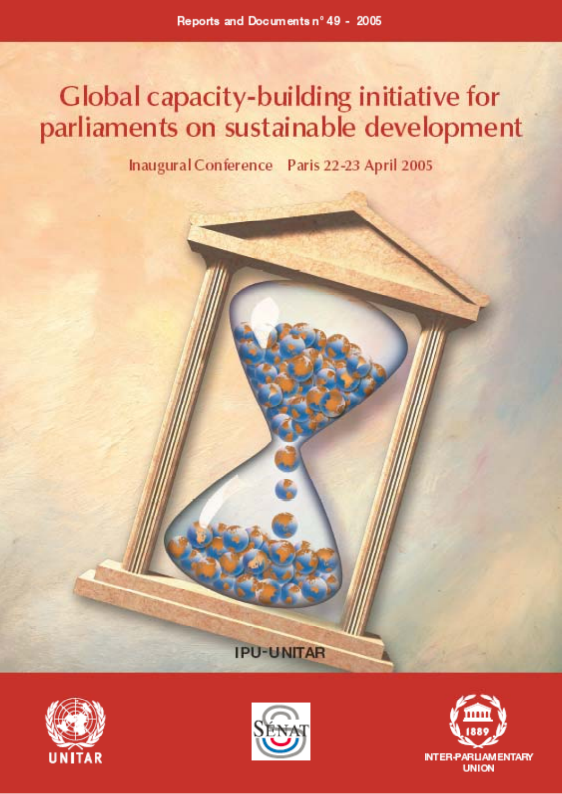# Global capacity-building initiative for parliaments on sustainable development

Inaugural Conference Paris 22-23 April 2005







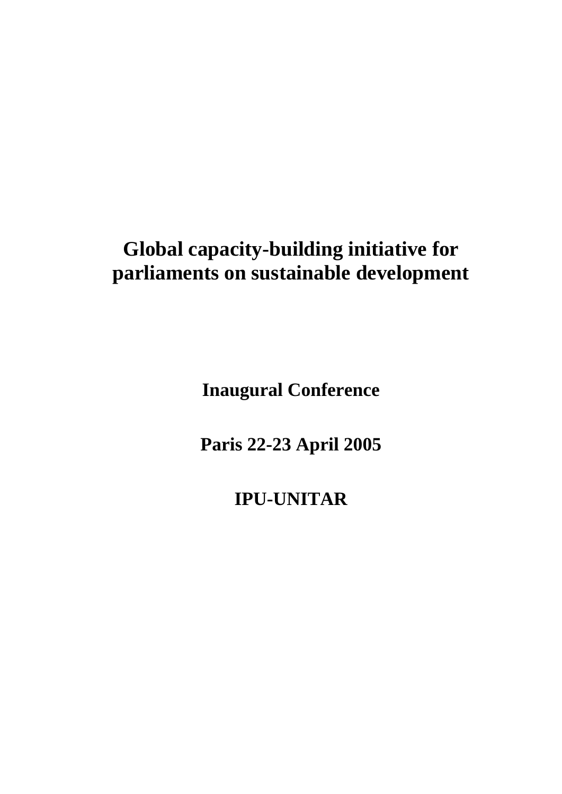# **Global capacity-building initiative for parliaments on sustainable development**

**Inaugural Conference** 

**Paris 22-23 April 2005** 

**IPU-UNITAR**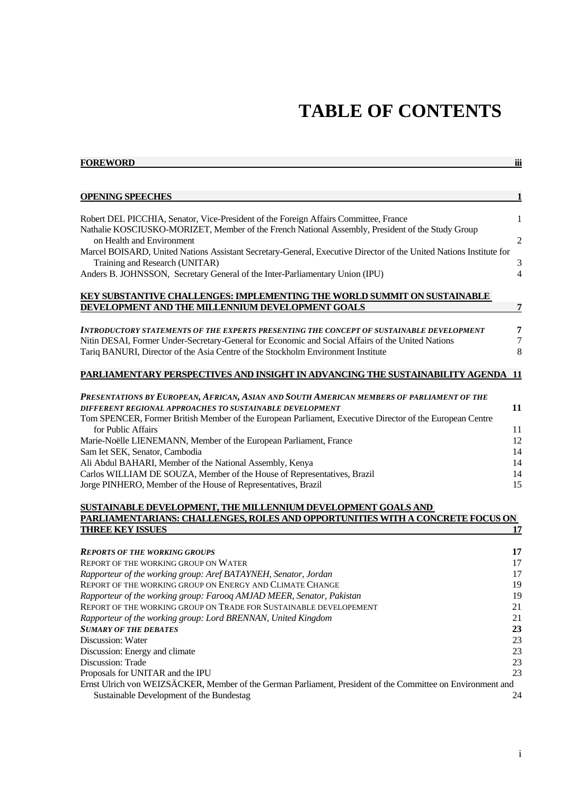# **TABLE OF CONTENTS**

| <b>FOREWORD</b><br>iii                                                                                                                                                                                                                                                            |                         |  |  |
|-----------------------------------------------------------------------------------------------------------------------------------------------------------------------------------------------------------------------------------------------------------------------------------|-------------------------|--|--|
|                                                                                                                                                                                                                                                                                   |                         |  |  |
| <b>OPENING SPEECHES</b>                                                                                                                                                                                                                                                           |                         |  |  |
|                                                                                                                                                                                                                                                                                   |                         |  |  |
| Robert DEL PICCHIA, Senator, Vice-President of the Foreign Affairs Committee, France<br>Nathalie KOSCIUSKO-MORIZET, Member of the French National Assembly, President of the Study Group<br>on Health and Environment                                                             | $\,1$<br>$\overline{2}$ |  |  |
| Marcel BOISARD, United Nations Assistant Secretary-General, Executive Director of the United Nations Institute for<br>Training and Research (UNITAR)                                                                                                                              | 3                       |  |  |
| Anders B. JOHNSSON, Secretary General of the Inter-Parliamentary Union (IPU)                                                                                                                                                                                                      | $\overline{4}$          |  |  |
| KEY SUBSTANTIVE CHALLENGES: IMPLEMENTING THE WORLD SUMMIT ON SUSTAINABLE                                                                                                                                                                                                          |                         |  |  |
| DEVELOPMENT AND THE MILLENNIUM DEVELOPMENT GOALS                                                                                                                                                                                                                                  | $\overline{7}$          |  |  |
| INTRODUCTORY STATEMENTS OF THE EXPERTS PRESENTING THE CONCEPT OF SUSTAINABLE DEVELOPMENT<br>Nitin DESAI, Former Under-Secretary-General for Economic and Social Affairs of the United Nations<br>Tariq BANURI, Director of the Asia Centre of the Stockholm Environment Institute | 7<br>7<br>8             |  |  |
| PARLIAMENTARY PERSPECTIVES AND INSIGHT IN ADVANCING THE SUSTAINABILITY AGENDA                                                                                                                                                                                                     | -11                     |  |  |
| PRESENTATIONS BY EUROPEAN, AFRICAN, ASIAN AND SOUTH AMERICAN MEMBERS OF PARLIAMENT OF THE                                                                                                                                                                                         |                         |  |  |
| DIFFERENT REGIONAL APPROACHES TO SUSTAINABLE DEVELOPMENT                                                                                                                                                                                                                          | 11                      |  |  |
| Tom SPENCER, Former British Member of the European Parliament, Executive Director of the European Centre<br>for Public Affairs                                                                                                                                                    | 11                      |  |  |
| Marie-Noëlle LIENEMANN, Member of the European Parliament, France                                                                                                                                                                                                                 | 12                      |  |  |
| Sam Iet SEK, Senator, Cambodia                                                                                                                                                                                                                                                    | 14                      |  |  |
| Ali Abdul BAHARI, Member of the National Assembly, Kenya                                                                                                                                                                                                                          | 14                      |  |  |
| Carlos WILLIAM DE SOUZA, Member of the House of Representatives, Brazil                                                                                                                                                                                                           | 14                      |  |  |
| Jorge PINHERO, Member of the House of Representatives, Brazil                                                                                                                                                                                                                     | 15                      |  |  |
| SUSTAINABLE DEVELOPMENT, THE MILLENNIUM DEVELOPMENT GOALS AND                                                                                                                                                                                                                     |                         |  |  |
| PARLIAMENTARIANS: CHALLENGES, ROLES AND OPPORTUNITIES WITH A CONCRETE FOCUS ON                                                                                                                                                                                                    |                         |  |  |
| <b>THREE KEY ISSUES</b>                                                                                                                                                                                                                                                           | 17                      |  |  |
| <b>REPORTS OF THE WORKING GROUPS</b>                                                                                                                                                                                                                                              | 17                      |  |  |
| <b>REPORT OF THE WORKING GROUP ON WATER</b>                                                                                                                                                                                                                                       | 17                      |  |  |
| Rapporteur of the working group: Aref BATAYNEH, Senator, Jordan                                                                                                                                                                                                                   | 17                      |  |  |
| REPORT OF THE WORKING GROUP ON ENERGY AND CLIMATE CHANGE                                                                                                                                                                                                                          | 19                      |  |  |
| Rapporteur of the working group: Farooq AMJAD MEER, Senator, Pakistan                                                                                                                                                                                                             | 19                      |  |  |
| REPORT OF THE WORKING GROUP ON TRADE FOR SUSTAINABLE DEVELOPEMENT                                                                                                                                                                                                                 | 21                      |  |  |
| Rapporteur of the working group: Lord BRENNAN, United Kingdom                                                                                                                                                                                                                     | 21                      |  |  |
| <b>SUMARY OF THE DEBATES</b>                                                                                                                                                                                                                                                      | 23                      |  |  |
| Discussion: Water                                                                                                                                                                                                                                                                 | 23                      |  |  |

Discussion: Water 23<br>Discussion: Energy and climate 23

Discussion: Energy and climate 23<br>Discussion: Trade 23 Discussion: Trade

Proposals for UNITAR and the IPU 23

Ernst Ulrich von WEIZSÄCKER, Member of the German Parliament, President of the Committee on Environment and Sustainable Development of the Bundestag 24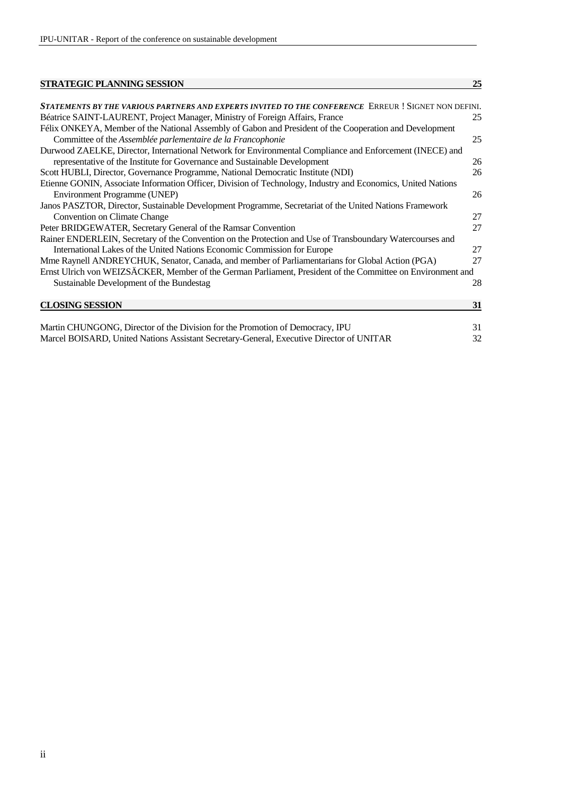#### **STRATEGIC PLANNING SESSION** 25

| STATEMENTS BY THE VARIOUS PARTNERS AND EXPERTS INVITED TO THE CONFERENCE ERREUR ! SIGNET NON DEFINI.         |    |
|--------------------------------------------------------------------------------------------------------------|----|
| Béatrice SAINT-LAURENT, Project Manager, Ministry of Foreign Affairs, France                                 | 25 |
| Félix ONKEYA, Member of the National Assembly of Gabon and President of the Cooperation and Development      |    |
| Committee of the Assemblée parlementaire de la Francophonie                                                  | 25 |
| Durwood ZAELKE, Director, International Network for Environmental Compliance and Enforcement (INECE) and     |    |
| representative of the Institute for Governance and Sustainable Development                                   | 26 |
| Scott HUBLI, Director, Governance Programme, National Democratic Institute (NDI)                             | 26 |
| Etienne GONIN, Associate Information Officer, Division of Technology, Industry and Economics, United Nations |    |
| Environment Programme (UNEP)                                                                                 | 26 |
| Janos PASZTOR, Director, Sustainable Development Programme, Secretariat of the United Nations Framework      |    |
| Convention on Climate Change                                                                                 | 27 |
| Peter BRIDGEWATER, Secretary General of the Ramsar Convention                                                | 27 |
| Rainer ENDERLEIN, Secretary of the Convention on the Protection and Use of Transboundary Watercourses and    |    |
| International Lakes of the United Nations Economic Commission for Europe                                     | 27 |
| Mme Raynell ANDREYCHUK, Senator, Canada, and member of Parliamentarians for Global Action (PGA)              | 27 |
| Ernst Ulrich von WEIZSÄCKER, Member of the German Parliament, President of the Committee on Environment and  |    |
| Sustainable Development of the Bundestag                                                                     | 28 |
|                                                                                                              |    |
| <b>CLOSING SESSION</b>                                                                                       | 31 |
|                                                                                                              |    |
| Martin CHUNGONG, Director of the Division for the Promotion of Democracy, IPU                                | 31 |
| Marcel BOISARD, United Nations Assistant Secretary-General, Executive Director of UNITAR                     | 32 |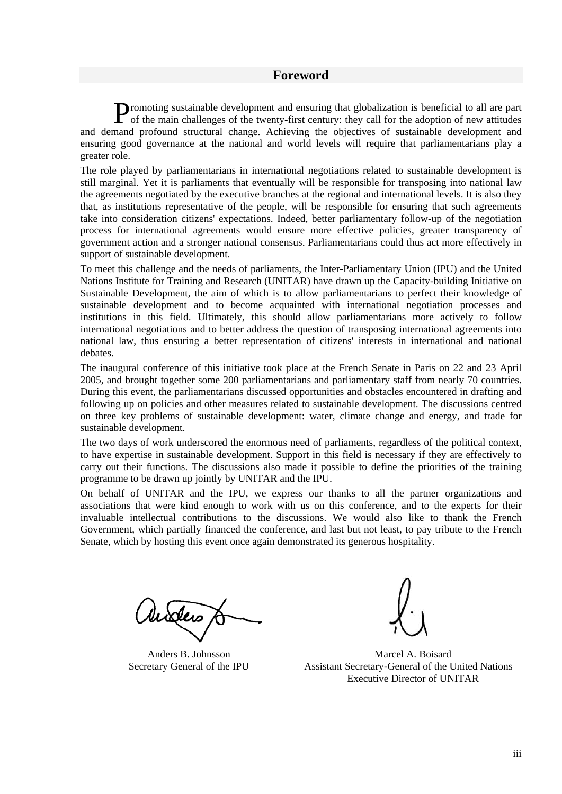#### **Foreword**

romoting sustainable development and ensuring that globalization is beneficial to all are part Promoting sustainable development and ensuring that globalization is beneficial to all are part of the main challenges of the twenty-first century: they call for the adoption of new attitudes and demand profound structural change. Achieving the objectives of sustainable development and ensuring good governance at the national and world levels will require that parliamentarians play a greater role.

The role played by parliamentarians in international negotiations related to sustainable development is still marginal. Yet it is parliaments that eventually will be responsible for transposing into national law the agreements negotiated by the executive branches at the regional and international levels. It is also they that, as institutions representative of the people, will be responsible for ensuring that such agreements take into consideration citizens' expectations. Indeed, better parliamentary follow-up of the negotiation process for international agreements would ensure more effective policies, greater transparency of government action and a stronger national consensus. Parliamentarians could thus act more effectively in support of sustainable development.

To meet this challenge and the needs of parliaments, the Inter-Parliamentary Union (IPU) and the United Nations Institute for Training and Research (UNITAR) have drawn up the Capacity-building Initiative on Sustainable Development, the aim of which is to allow parliamentarians to perfect their knowledge of sustainable development and to become acquainted with international negotiation processes and institutions in this field. Ultimately, this should allow parliamentarians more actively to follow international negotiations and to better address the question of transposing international agreements into national law, thus ensuring a better representation of citizens' interests in international and national debates.

The inaugural conference of this initiative took place at the French Senate in Paris on 22 and 23 April 2005, and brought together some 200 parliamentarians and parliamentary staff from nearly 70 countries. During this event, the parliamentarians discussed opportunities and obstacles encountered in drafting and following up on policies and other measures related to sustainable development. The discussions centred on three key problems of sustainable development: water, climate change and energy, and trade for sustainable development.

The two days of work underscored the enormous need of parliaments, regardless of the political context, to have expertise in sustainable development. Support in this field is necessary if they are effectively to carry out their functions. The discussions also made it possible to define the priorities of the training programme to be drawn up jointly by UNITAR and the IPU.

On behalf of UNITAR and the IPU, we express our thanks to all the partner organizations and associations that were kind enough to work with us on this conference, and to the experts for their invaluable intellectual contributions to the discussions. We would also like to thank the French Government, which partially financed the conference, and last but not least, to pay tribute to the French Senate, which by hosting this event once again demonstrated its generous hospitality.

histers

Anders B. Johnsson Secretary General of the IPU



Marcel A. Boisard Assistant Secretary-General of the United Nations Executive Director of UNITAR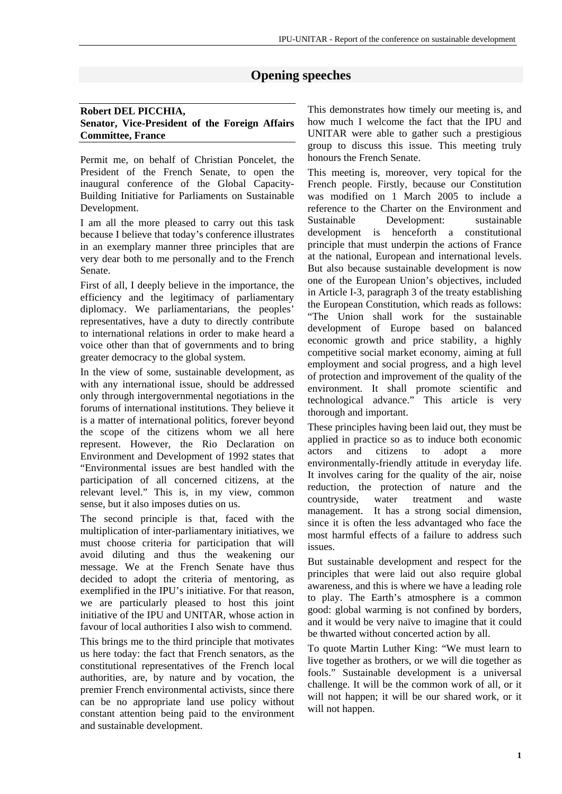# **Opening speeches**

#### **Robert DEL PICCHIA, Senator, Vice-President of the Foreign Affairs Committee, France**

Permit me, on behalf of Christian Poncelet, the President of the French Senate, to open the inaugural conference of the Global Capacity-Building Initiative for Parliaments on Sustainable Development.

I am all the more pleased to carry out this task because I believe that today's conference illustrates in an exemplary manner three principles that are very dear both to me personally and to the French Senate.

First of all, I deeply believe in the importance, the efficiency and the legitimacy of parliamentary diplomacy. We parliamentarians, the peoples' representatives, have a duty to directly contribute to international relations in order to make heard a voice other than that of governments and to bring greater democracy to the global system.

In the view of some, sustainable development, as with any international issue, should be addressed only through intergovernmental negotiations in the forums of international institutions. They believe it is a matter of international politics, forever beyond the scope of the citizens whom we all here represent. However, the Rio Declaration on Environment and Development of 1992 states that "Environmental issues are best handled with the participation of all concerned citizens, at the relevant level." This is, in my view, common sense, but it also imposes duties on us.

The second principle is that, faced with the multiplication of inter-parliamentary initiatives, we must choose criteria for participation that will avoid diluting and thus the weakening our message. We at the French Senate have thus decided to adopt the criteria of mentoring, as exemplified in the IPU's initiative. For that reason, we are particularly pleased to host this joint initiative of the IPU and UNITAR, whose action in favour of local authorities I also wish to commend.

This brings me to the third principle that motivates us here today: the fact that French senators, as the constitutional representatives of the French local authorities, are, by nature and by vocation, the premier French environmental activists, since there can be no appropriate land use policy without constant attention being paid to the environment and sustainable development.

This demonstrates how timely our meeting is, and how much I welcome the fact that the IPU and UNITAR were able to gather such a prestigious group to discuss this issue. This meeting truly honours the French Senate.

This meeting is, moreover, very topical for the French people. Firstly, because our Constitution was modified on 1 March 2005 to include a reference to the Charter on the Environment and Sustainable Development: sustainable development is henceforth a constitutional principle that must underpin the actions of France at the national, European and international levels. But also because sustainable development is now one of the European Union's objectives, included in Article I-3, paragraph 3 of the treaty establishing the European Constitution, which reads as follows: "The Union shall work for the sustainable development of Europe based on balanced economic growth and price stability, a highly competitive social market economy, aiming at full employment and social progress, and a high level of protection and improvement of the quality of the environment. It shall promote scientific and technological advance." This article is very thorough and important.

These principles having been laid out, they must be applied in practice so as to induce both economic actors and citizens to adopt a more environmentally-friendly attitude in everyday life. It involves caring for the quality of the air, noise reduction, the protection of nature and the countryside, water treatment and waste management. It has a strong social dimension, since it is often the less advantaged who face the most harmful effects of a failure to address such issues.

But sustainable development and respect for the principles that were laid out also require global awareness, and this is where we have a leading role to play. The Earth's atmosphere is a common good: global warming is not confined by borders, and it would be very naïve to imagine that it could be thwarted without concerted action by all.

To quote Martin Luther King: "We must learn to live together as brothers, or we will die together as fools." Sustainable development is a universal challenge. It will be the common work of all, or it will not happen; it will be our shared work, or it will not happen.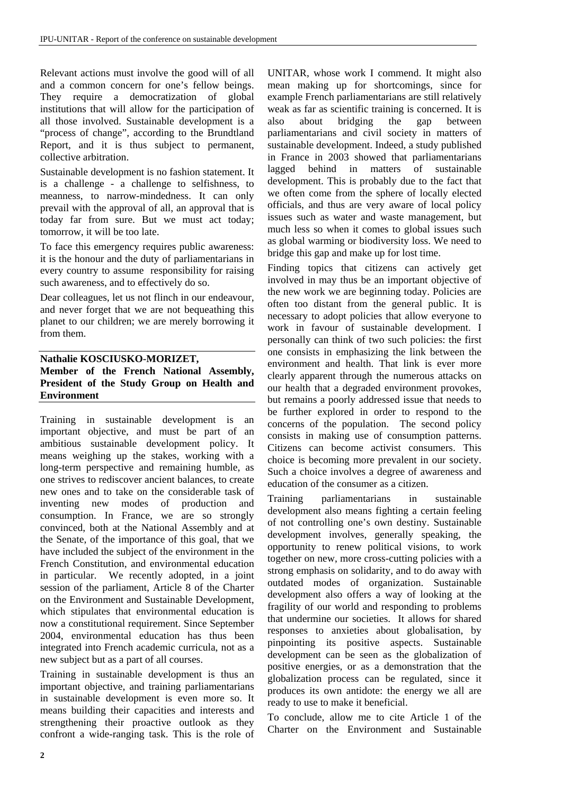Relevant actions must involve the good will of all and a common concern for one's fellow beings. They require a democratization of global institutions that will allow for the participation of all those involved. Sustainable development is a "process of change", according to the Brundtland Report, and it is thus subject to permanent, collective arbitration.

Sustainable development is no fashion statement. It is a challenge - a challenge to selfishness, to meanness, to narrow-mindedness. It can only prevail with the approval of all, an approval that is today far from sure. But we must act today; tomorrow, it will be too late.

To face this emergency requires public awareness: it is the honour and the duty of parliamentarians in every country to assume responsibility for raising such awareness, and to effectively do so.

Dear colleagues, let us not flinch in our endeavour, and never forget that we are not bequeathing this planet to our children; we are merely borrowing it from them.

#### **Nathalie KOSCIUSKO-MORIZET, Member of the French National Assembly, President of the Study Group on Health and Environment**

Training in sustainable development is an important objective, and must be part of an ambitious sustainable development policy. It means weighing up the stakes, working with a long-term perspective and remaining humble, as one strives to rediscover ancient balances, to create new ones and to take on the considerable task of inventing new modes of production and consumption. In France, we are so strongly convinced, both at the National Assembly and at the Senate, of the importance of this goal, that we have included the subject of the environment in the French Constitution, and environmental education in particular. We recently adopted, in a joint session of the parliament, Article 8 of the Charter on the Environment and Sustainable Development, which stipulates that environmental education is now a constitutional requirement. Since September 2004, environmental education has thus been integrated into French academic curricula, not as a new subject but as a part of all courses.

Training in sustainable development is thus an important objective, and training parliamentarians in sustainable development is even more so. It means building their capacities and interests and strengthening their proactive outlook as they confront a wide-ranging task. This is the role of UNITAR, whose work I commend. It might also mean making up for shortcomings, since for example French parliamentarians are still relatively weak as far as scientific training is concerned. It is also about bridging the gap between parliamentarians and civil society in matters of sustainable development. Indeed, a study published in France in 2003 showed that parliamentarians lagged behind in matters of sustainable development. This is probably due to the fact that we often come from the sphere of locally elected officials, and thus are very aware of local policy issues such as water and waste management, but much less so when it comes to global issues such as global warming or biodiversity loss. We need to bridge this gap and make up for lost time.

Finding topics that citizens can actively get involved in may thus be an important objective of the new work we are beginning today. Policies are often too distant from the general public. It is necessary to adopt policies that allow everyone to work in favour of sustainable development. I personally can think of two such policies: the first one consists in emphasizing the link between the environment and health. That link is ever more clearly apparent through the numerous attacks on our health that a degraded environment provokes, but remains a poorly addressed issue that needs to be further explored in order to respond to the concerns of the population. The second policy consists in making use of consumption patterns. Citizens can become activist consumers. This choice is becoming more prevalent in our society. Such a choice involves a degree of awareness and education of the consumer as a citizen.

Training parliamentarians in sustainable development also means fighting a certain feeling of not controlling one's own destiny. Sustainable development involves, generally speaking, the opportunity to renew political visions, to work together on new, more cross-cutting policies with a strong emphasis on solidarity, and to do away with outdated modes of organization. Sustainable development also offers a way of looking at the fragility of our world and responding to problems that undermine our societies. It allows for shared responses to anxieties about globalisation, by pinpointing its positive aspects. Sustainable development can be seen as the globalization of positive energies, or as a demonstration that the globalization process can be regulated, since it produces its own antidote: the energy we all are ready to use to make it beneficial.

To conclude, allow me to cite Article 1 of the Charter on the Environment and Sustainable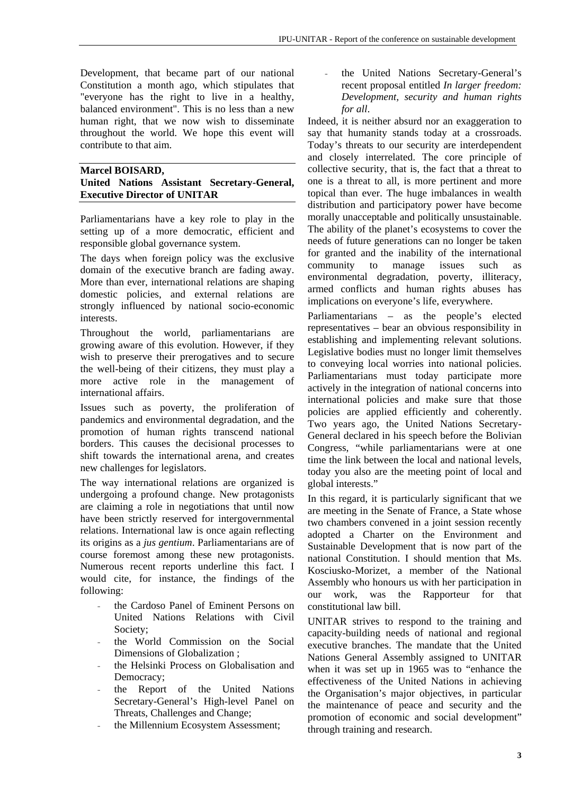Development, that became part of our national Constitution a month ago, which stipulates that "everyone has the right to live in a healthy, balanced environment". This is no less than a new human right, that we now wish to disseminate throughout the world. We hope this event will contribute to that aim.

#### **Marcel BOISARD, United Nations Assistant Secretary-General, Executive Director of UNITAR**

Parliamentarians have a key role to play in the setting up of a more democratic, efficient and responsible global governance system.

The days when foreign policy was the exclusive domain of the executive branch are fading away. More than ever, international relations are shaping domestic policies, and external relations are strongly influenced by national socio-economic interests.

Throughout the world, parliamentarians are growing aware of this evolution. However, if they wish to preserve their prerogatives and to secure the well-being of their citizens, they must play a more active role in the management of international affairs.

Issues such as poverty, the proliferation of pandemics and environmental degradation, and the promotion of human rights transcend national borders. This causes the decisional processes to shift towards the international arena, and creates new challenges for legislators.

The way international relations are organized is undergoing a profound change. New protagonists are claiming a role in negotiations that until now have been strictly reserved for intergovernmental relations. International law is once again reflecting its origins as a *jus gentium*. Parliamentarians are of course foremost among these new protagonists. Numerous recent reports underline this fact. I would cite, for instance, the findings of the following:

- the Cardoso Panel of Eminent Persons on United Nations Relations with Civil Society;
- the World Commission on the Social Dimensions of Globalization ;
- the Helsinki Process on Globalisation and Democracy;
- the Report of the United Nations Secretary-General's High-level Panel on Threats, Challenges and Change;
- the Millennium Ecosystem Assessment;

the United Nations Secretary-General's recent proposal entitled *In larger freedom: Development, security and human rights for all*.

Indeed, it is neither absurd nor an exaggeration to say that humanity stands today at a crossroads. Today's threats to our security are interdependent and closely interrelated. The core principle of collective security, that is, the fact that a threat to one is a threat to all, is more pertinent and more topical than ever. The huge imbalances in wealth distribution and participatory power have become morally unacceptable and politically unsustainable. The ability of the planet's ecosystems to cover the needs of future generations can no longer be taken for granted and the inability of the international community to manage issues such as environmental degradation, poverty, illiteracy, armed conflicts and human rights abuses has implications on everyone's life, everywhere.

Parliamentarians – as the people's elected representatives – bear an obvious responsibility in establishing and implementing relevant solutions. Legislative bodies must no longer limit themselves to conveying local worries into national policies. Parliamentarians must today participate more actively in the integration of national concerns into international policies and make sure that those policies are applied efficiently and coherently. Two years ago, the United Nations Secretary-General declared in his speech before the Bolivian Congress, "while parliamentarians were at one time the link between the local and national levels, today you also are the meeting point of local and global interests."

In this regard, it is particularly significant that we are meeting in the Senate of France, a State whose two chambers convened in a joint session recently adopted a Charter on the Environment and Sustainable Development that is now part of the national Constitution. I should mention that Ms. Kosciusko-Morizet, a member of the National Assembly who honours us with her participation in our work, was the Rapporteur for that constitutional law bill.

UNITAR strives to respond to the training and capacity-building needs of national and regional executive branches. The mandate that the United Nations General Assembly assigned to UNITAR when it was set up in 1965 was to "enhance the effectiveness of the United Nations in achieving the Organisation's major objectives, in particular the maintenance of peace and security and the promotion of economic and social development" through training and research.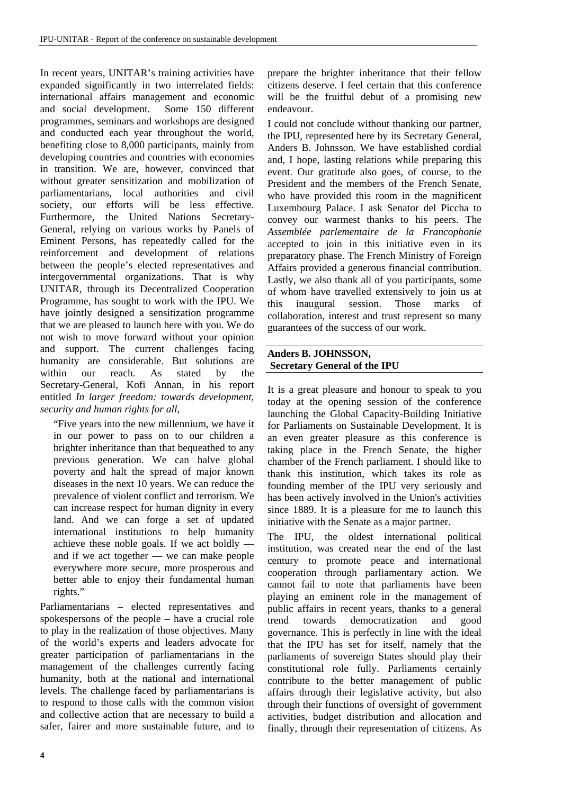In recent years, UNITAR's training activities have expanded significantly in two interrelated fields: international affairs management and economic and social development. Some 150 different programmes, seminars and workshops are designed and conducted each year throughout the world, benefiting close to 8,000 participants, mainly from developing countries and countries with economies in transition. We are, however, convinced that without greater sensitization and mobilization of parliamentarians, local authorities and civil society, our efforts will be less effective. Furthermore, the United Nations Secretary-General, relying on various works by Panels of Eminent Persons, has repeatedly called for the reinforcement and development of relations between the people's elected representatives and intergovernmental organizations. That is why UNITAR, through its Decentralized Cooperation Programme, has sought to work with the IPU. We have jointly designed a sensitization programme that we are pleased to launch here with you. We do not wish to move forward without your opinion and support. The current challenges facing humanity are considerable. But solutions are within our reach. As stated by the Secretary-General, Kofi Annan, in his report entitled *In larger freedom: towards development, security and human rights for all*,

"Five years into the new millennium, we have it in our power to pass on to our children a brighter inheritance than that bequeathed to any previous generation. We can halve global poverty and halt the spread of major known diseases in the next 10 years. We can reduce the prevalence of violent conflict and terrorism. We can increase respect for human dignity in every land. And we can forge a set of updated international institutions to help humanity achieve these noble goals. If we act boldly and if we act together — we can make people everywhere more secure, more prosperous and better able to enjoy their fundamental human rights."

Parliamentarians – elected representatives and spokespersons of the people – have a crucial role to play in the realization of those objectives. Many of the world's experts and leaders advocate for greater participation of parliamentarians in the management of the challenges currently facing humanity, both at the national and international levels. The challenge faced by parliamentarians is to respond to those calls with the common vision and collective action that are necessary to build a safer, fairer and more sustainable future, and to prepare the brighter inheritance that their fellow citizens deserve. I feel certain that this conference will be the fruitful debut of a promising new endeavour.

I could not conclude without thanking our partner, the IPU, represented here by its Secretary General, Anders B. Johnsson. We have established cordial and, I hope, lasting relations while preparing this event. Our gratitude also goes, of course, to the President and the members of the French Senate, who have provided this room in the magnificent Luxembourg Palace. I ask Senator del Piccha to convey our warmest thanks to his peers. The *Assemblée parlementaire de la Francophonie* accepted to join in this initiative even in its preparatory phase. The French Ministry of Foreign Affairs provided a generous financial contribution. Lastly, we also thank all of you participants, some of whom have travelled extensively to join us at this inaugural session. Those marks of collaboration, interest and trust represent so many guarantees of the success of our work.

#### **Anders B. JOHNSSON, Secretary General of the IPU**

It is a great pleasure and honour to speak to you today at the opening session of the conference launching the Global Capacity-Building Initiative for Parliaments on Sustainable Development. It is an even greater pleasure as this conference is taking place in the French Senate, the higher chamber of the French parliament. I should like to thank this institution, which takes its role as founding member of the IPU very seriously and has been actively involved in the Union's activities since 1889. It is a pleasure for me to launch this initiative with the Senate as a major partner.

The IPU, the oldest international political institution, was created near the end of the last century to promote peace and international cooperation through parliamentary action. We cannot fail to note that parliaments have been playing an eminent role in the management of public affairs in recent years, thanks to a general trend towards democratization and good governance. This is perfectly in line with the ideal that the IPU has set for itself, namely that the parliaments of sovereign States should play their constitutional role fully. Parliaments certainly contribute to the better management of public affairs through their legislative activity, but also through their functions of oversight of government activities, budget distribution and allocation and finally, through their representation of citizens. As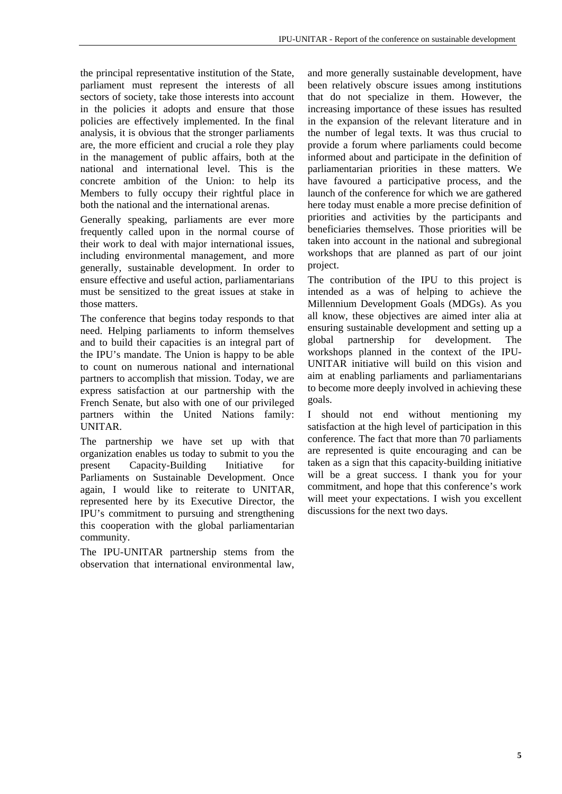the principal representative institution of the State, parliament must represent the interests of all sectors of society, take those interests into account in the policies it adopts and ensure that those policies are effectively implemented. In the final analysis, it is obvious that the stronger parliaments are, the more efficient and crucial a role they play in the management of public affairs, both at the national and international level. This is the concrete ambition of the Union: to help its Members to fully occupy their rightful place in both the national and the international arenas.

Generally speaking, parliaments are ever more frequently called upon in the normal course of their work to deal with major international issues, including environmental management, and more generally, sustainable development. In order to ensure effective and useful action, parliamentarians must be sensitized to the great issues at stake in those matters.

The conference that begins today responds to that need. Helping parliaments to inform themselves and to build their capacities is an integral part of the IPU's mandate. The Union is happy to be able to count on numerous national and international partners to accomplish that mission. Today, we are express satisfaction at our partnership with the French Senate, but also with one of our privileged partners within the United Nations family: UNITAR.

The partnership we have set up with that organization enables us today to submit to you the present Capacity-Building Initiative for Parliaments on Sustainable Development. Once again, I would like to reiterate to UNITAR, represented here by its Executive Director, the IPU's commitment to pursuing and strengthening this cooperation with the global parliamentarian community.

The IPU-UNITAR partnership stems from the observation that international environmental law,

and more generally sustainable development, have been relatively obscure issues among institutions that do not specialize in them. However, the increasing importance of these issues has resulted in the expansion of the relevant literature and in the number of legal texts. It was thus crucial to provide a forum where parliaments could become informed about and participate in the definition of parliamentarian priorities in these matters. We have favoured a participative process, and the launch of the conference for which we are gathered here today must enable a more precise definition of priorities and activities by the participants and beneficiaries themselves. Those priorities will be taken into account in the national and subregional workshops that are planned as part of our joint project.

The contribution of the IPU to this project is intended as a was of helping to achieve the Millennium Development Goals (MDGs). As you all know, these objectives are aimed inter alia at ensuring sustainable development and setting up a global partnership for development. The workshops planned in the context of the IPU-UNITAR initiative will build on this vision and aim at enabling parliaments and parliamentarians to become more deeply involved in achieving these goals.

I should not end without mentioning my satisfaction at the high level of participation in this conference. The fact that more than 70 parliaments are represented is quite encouraging and can be taken as a sign that this capacity-building initiative will be a great success. I thank you for your commitment, and hope that this conference's work will meet your expectations. I wish you excellent discussions for the next two days.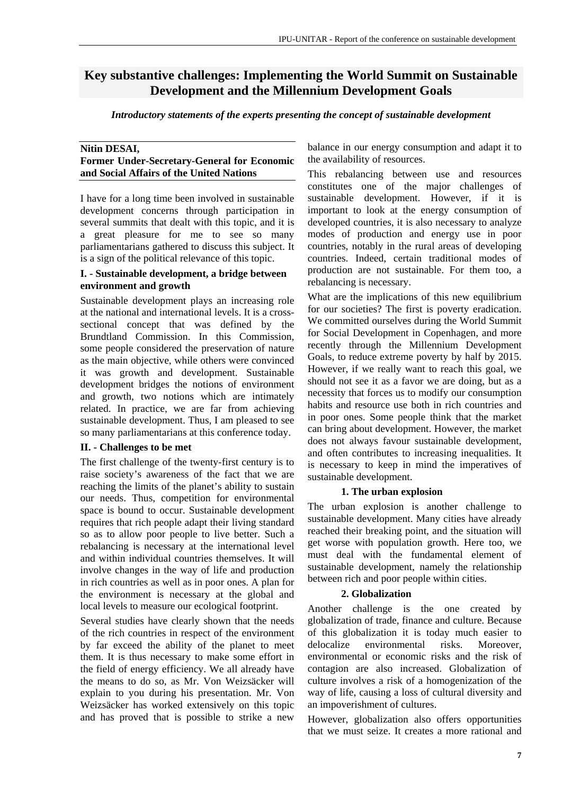# **Key substantive challenges: Implementing the World Summit on Sustainable Development and the Millennium Development Goals**

*Introductory statements of the experts presenting the concept of sustainable development* 

#### **Nitin DESAI, Former Under-Secretary-General for Economic and Social Affairs of the United Nations**

I have for a long time been involved in sustainable development concerns through participation in several summits that dealt with this topic, and it is a great pleasure for me to see so many parliamentarians gathered to discuss this subject. It is a sign of the political relevance of this topic.

#### **I. - Sustainable development, a bridge between environment and growth**

Sustainable development plays an increasing role at the national and international levels. It is a crosssectional concept that was defined by the Brundtland Commission. In this Commission, some people considered the preservation of nature as the main objective, while others were convinced it was growth and development. Sustainable development bridges the notions of environment and growth, two notions which are intimately related. In practice, we are far from achieving sustainable development. Thus, I am pleased to see so many parliamentarians at this conference today.

#### **II. - Challenges to be met**

The first challenge of the twenty-first century is to raise society's awareness of the fact that we are reaching the limits of the planet's ability to sustain our needs. Thus, competition for environmental space is bound to occur. Sustainable development requires that rich people adapt their living standard so as to allow poor people to live better. Such a rebalancing is necessary at the international level and within individual countries themselves. It will involve changes in the way of life and production in rich countries as well as in poor ones. A plan for the environment is necessary at the global and local levels to measure our ecological footprint.

Several studies have clearly shown that the needs of the rich countries in respect of the environment by far exceed the ability of the planet to meet them. It is thus necessary to make some effort in the field of energy efficiency. We all already have the means to do so, as Mr. Von Weizsäcker will explain to you during his presentation. Mr. Von Weizsäcker has worked extensively on this topic and has proved that is possible to strike a new balance in our energy consumption and adapt it to the availability of resources.

This rebalancing between use and resources constitutes one of the major challenges of sustainable development. However, if it is important to look at the energy consumption of developed countries, it is also necessary to analyze modes of production and energy use in poor countries, notably in the rural areas of developing countries. Indeed, certain traditional modes of production are not sustainable. For them too, a rebalancing is necessary.

What are the implications of this new equilibrium for our societies? The first is poverty eradication. We committed ourselves during the World Summit for Social Development in Copenhagen, and more recently through the Millennium Development Goals, to reduce extreme poverty by half by 2015. However, if we really want to reach this goal, we should not see it as a favor we are doing, but as a necessity that forces us to modify our consumption habits and resource use both in rich countries and in poor ones. Some people think that the market can bring about development. However, the market does not always favour sustainable development, and often contributes to increasing inequalities. It is necessary to keep in mind the imperatives of sustainable development.

#### **1. The urban explosion**

The urban explosion is another challenge to sustainable development. Many cities have already reached their breaking point, and the situation will get worse with population growth. Here too, we must deal with the fundamental element of sustainable development, namely the relationship between rich and poor people within cities.

#### **2. Globalization**

Another challenge is the one created by globalization of trade, finance and culture. Because of this globalization it is today much easier to delocalize environmental risks. Moreover, environmental or economic risks and the risk of contagion are also increased. Globalization of culture involves a risk of a homogenization of the way of life, causing a loss of cultural diversity and an impoverishment of cultures.

However, globalization also offers opportunities that we must seize. It creates a more rational and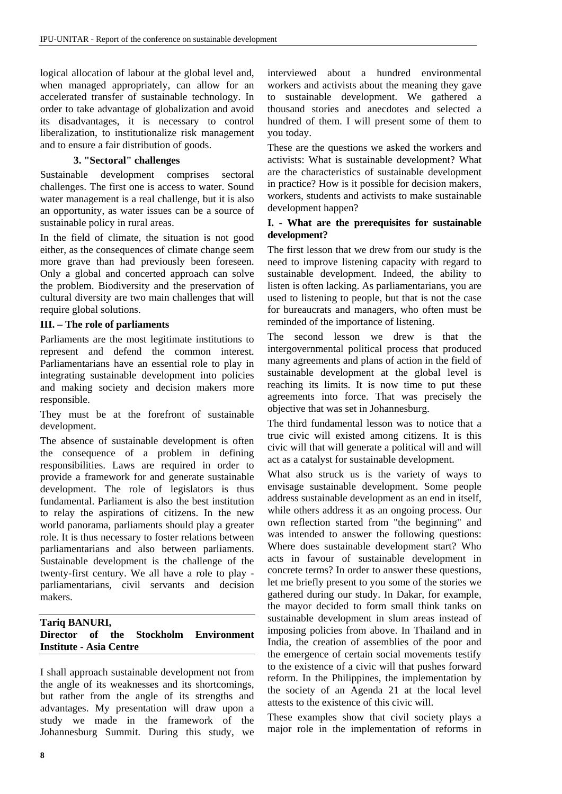logical allocation of labour at the global level and, when managed appropriately, can allow for an accelerated transfer of sustainable technology. In order to take advantage of globalization and avoid its disadvantages, it is necessary to control liberalization, to institutionalize risk management and to ensure a fair distribution of goods.

#### **3. "Sectoral" challenges**

Sustainable development comprises sectoral challenges. The first one is access to water. Sound water management is a real challenge, but it is also an opportunity, as water issues can be a source of sustainable policy in rural areas.

In the field of climate, the situation is not good either, as the consequences of climate change seem more grave than had previously been foreseen. Only a global and concerted approach can solve the problem. Biodiversity and the preservation of cultural diversity are two main challenges that will require global solutions.

#### **III. – The role of parliaments**

Parliaments are the most legitimate institutions to represent and defend the common interest. Parliamentarians have an essential role to play in integrating sustainable development into policies and making society and decision makers more responsible.

They must be at the forefront of sustainable development.

The absence of sustainable development is often the consequence of a problem in defining responsibilities. Laws are required in order to provide a framework for and generate sustainable development. The role of legislators is thus fundamental. Parliament is also the best institution to relay the aspirations of citizens. In the new world panorama, parliaments should play a greater role. It is thus necessary to foster relations between parliamentarians and also between parliaments. Sustainable development is the challenge of the twenty-first century. We all have a role to play parliamentarians, civil servants and decision makers.

#### **Tariq BANURI, Director of the Stockholm Environment Institute - Asia Centre**

I shall approach sustainable development not from the angle of its weaknesses and its shortcomings, but rather from the angle of its strengths and advantages. My presentation will draw upon a study we made in the framework of the Johannesburg Summit. During this study, we

interviewed about a hundred environmental workers and activists about the meaning they gave to sustainable development. We gathered a thousand stories and anecdotes and selected a hundred of them. I will present some of them to you today.

These are the questions we asked the workers and activists: What is sustainable development? What are the characteristics of sustainable development in practice? How is it possible for decision makers, workers, students and activists to make sustainable development happen?

#### **I. - What are the prerequisites for sustainable development?**

The first lesson that we drew from our study is the need to improve listening capacity with regard to sustainable development. Indeed, the ability to listen is often lacking. As parliamentarians, you are used to listening to people, but that is not the case for bureaucrats and managers, who often must be reminded of the importance of listening.

The second lesson we drew is that the intergovernmental political process that produced many agreements and plans of action in the field of sustainable development at the global level is reaching its limits. It is now time to put these agreements into force. That was precisely the objective that was set in Johannesburg.

The third fundamental lesson was to notice that a true civic will existed among citizens. It is this civic will that will generate a political will and will act as a catalyst for sustainable development.

What also struck us is the variety of ways to envisage sustainable development. Some people address sustainable development as an end in itself, while others address it as an ongoing process. Our own reflection started from "the beginning" and was intended to answer the following questions: Where does sustainable development start? Who acts in favour of sustainable development in concrete terms? In order to answer these questions, let me briefly present to you some of the stories we gathered during our study. In Dakar, for example, the mayor decided to form small think tanks on sustainable development in slum areas instead of imposing policies from above. In Thailand and in India, the creation of assemblies of the poor and the emergence of certain social movements testify to the existence of a civic will that pushes forward reform. In the Philippines, the implementation by the society of an Agenda 21 at the local level attests to the existence of this civic will.

These examples show that civil society plays a major role in the implementation of reforms in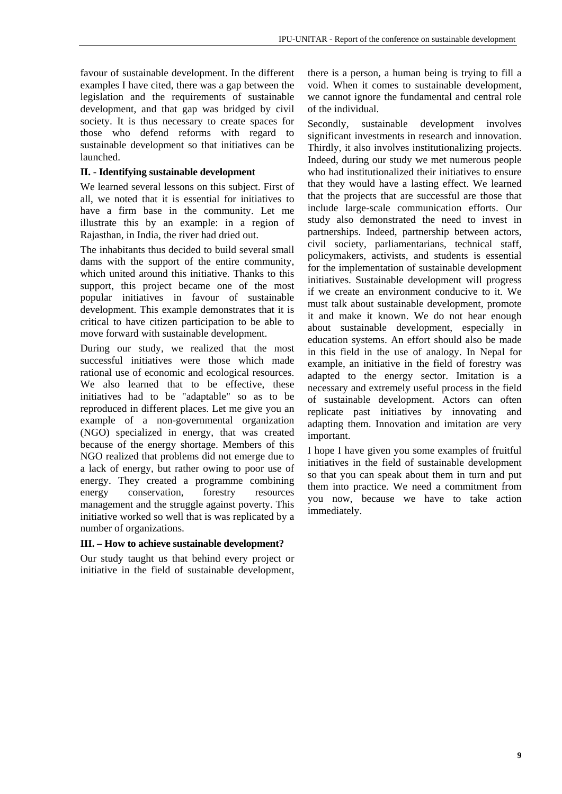favour of sustainable development. In the different examples I have cited, there was a gap between the legislation and the requirements of sustainable development, and that gap was bridged by civil society. It is thus necessary to create spaces for those who defend reforms with regard to sustainable development so that initiatives can be launched.

#### **II. - Identifying sustainable development**

We learned several lessons on this subject. First of all, we noted that it is essential for initiatives to have a firm base in the community. Let me illustrate this by an example: in a region of Rajasthan, in India, the river had dried out.

The inhabitants thus decided to build several small dams with the support of the entire community, which united around this initiative. Thanks to this support, this project became one of the most popular initiatives in favour of sustainable development. This example demonstrates that it is critical to have citizen participation to be able to move forward with sustainable development.

During our study, we realized that the most successful initiatives were those which made rational use of economic and ecological resources. We also learned that to be effective, these initiatives had to be "adaptable" so as to be reproduced in different places. Let me give you an example of a non-governmental organization (NGO) specialized in energy, that was created because of the energy shortage. Members of this NGO realized that problems did not emerge due to a lack of energy, but rather owing to poor use of energy. They created a programme combining energy conservation, forestry resources management and the struggle against poverty. This initiative worked so well that is was replicated by a number of organizations.

#### **III. – How to achieve sustainable development?**

Our study taught us that behind every project or initiative in the field of sustainable development,

there is a person, a human being is trying to fill a void. When it comes to sustainable development, we cannot ignore the fundamental and central role of the individual.

Secondly, sustainable development involves significant investments in research and innovation. Thirdly, it also involves institutionalizing projects. Indeed, during our study we met numerous people who had institutionalized their initiatives to ensure that they would have a lasting effect. We learned that the projects that are successful are those that include large-scale communication efforts. Our study also demonstrated the need to invest in partnerships. Indeed, partnership between actors, civil society, parliamentarians, technical staff, policymakers, activists, and students is essential for the implementation of sustainable development initiatives. Sustainable development will progress if we create an environment conducive to it. We must talk about sustainable development, promote it and make it known. We do not hear enough about sustainable development, especially in education systems. An effort should also be made in this field in the use of analogy. In Nepal for example, an initiative in the field of forestry was adapted to the energy sector. Imitation is a necessary and extremely useful process in the field of sustainable development. Actors can often replicate past initiatives by innovating and adapting them. Innovation and imitation are very important.

I hope I have given you some examples of fruitful initiatives in the field of sustainable development so that you can speak about them in turn and put them into practice. We need a commitment from you now, because we have to take action immediately.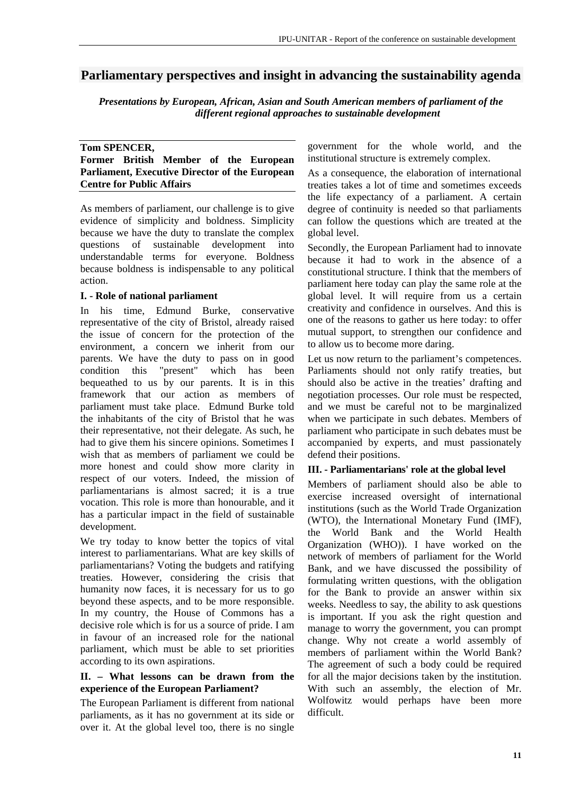# **Parliamentary perspectives and insight in advancing the sustainability agenda**

*Presentations by European, African, Asian and South American members of parliament of the different regional approaches to sustainable development*

#### **Tom SPENCER, Former British Member of the European Parliament, Executive Director of the European Centre for Public Affairs**

As members of parliament, our challenge is to give evidence of simplicity and boldness. Simplicity because we have the duty to translate the complex questions of sustainable development into understandable terms for everyone. Boldness because boldness is indispensable to any political action.

#### **I. - Role of national parliament**

In his time, Edmund Burke, conservative representative of the city of Bristol, already raised the issue of concern for the protection of the environment, a concern we inherit from our parents. We have the duty to pass on in good condition this "present" which has been bequeathed to us by our parents. It is in this framework that our action as members of parliament must take place. Edmund Burke told the inhabitants of the city of Bristol that he was their representative, not their delegate. As such, he had to give them his sincere opinions. Sometimes I wish that as members of parliament we could be more honest and could show more clarity in respect of our voters. Indeed, the mission of parliamentarians is almost sacred; it is a true vocation. This role is more than honourable, and it has a particular impact in the field of sustainable development.

We try today to know better the topics of vital interest to parliamentarians. What are key skills of parliamentarians? Voting the budgets and ratifying treaties. However, considering the crisis that humanity now faces, it is necessary for us to go beyond these aspects, and to be more responsible. In my country, the House of Commons has a decisive role which is for us a source of pride. I am in favour of an increased role for the national parliament, which must be able to set priorities according to its own aspirations.

#### **II. – What lessons can be drawn from the experience of the European Parliament?**

The European Parliament is different from national parliaments, as it has no government at its side or over it. At the global level too, there is no single government for the whole world, and the institutional structure is extremely complex.

As a consequence, the elaboration of international treaties takes a lot of time and sometimes exceeds the life expectancy of a parliament. A certain degree of continuity is needed so that parliaments can follow the questions which are treated at the global level.

Secondly, the European Parliament had to innovate because it had to work in the absence of a constitutional structure. I think that the members of parliament here today can play the same role at the global level. It will require from us a certain creativity and confidence in ourselves. And this is one of the reasons to gather us here today: to offer mutual support, to strengthen our confidence and to allow us to become more daring.

Let us now return to the parliament's competences. Parliaments should not only ratify treaties, but should also be active in the treaties' drafting and negotiation processes. Our role must be respected, and we must be careful not to be marginalized when we participate in such debates. Members of parliament who participate in such debates must be accompanied by experts, and must passionately defend their positions.

#### **III. - Parliamentarians' role at the global level**

Members of parliament should also be able to exercise increased oversight of international institutions (such as the World Trade Organization (WTO), the International Monetary Fund (IMF), the World Bank and the World Health Organization (WHO)). I have worked on the network of members of parliament for the World Bank, and we have discussed the possibility of formulating written questions, with the obligation for the Bank to provide an answer within six weeks. Needless to say, the ability to ask questions is important. If you ask the right question and manage to worry the government, you can prompt change. Why not create a world assembly of members of parliament within the World Bank? The agreement of such a body could be required for all the major decisions taken by the institution. With such an assembly, the election of Mr. Wolfowitz would perhaps have been more difficult.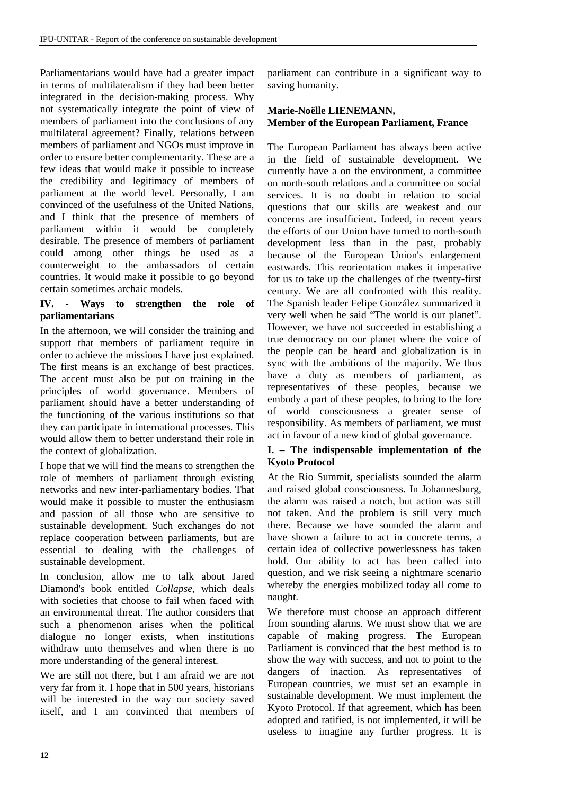Parliamentarians would have had a greater impact in terms of multilateralism if they had been better integrated in the decision-making process. Why not systematically integrate the point of view of members of parliament into the conclusions of any multilateral agreement? Finally, relations between members of parliament and NGOs must improve in order to ensure better complementarity. These are a few ideas that would make it possible to increase the credibility and legitimacy of members of parliament at the world level. Personally, I am convinced of the usefulness of the United Nations, and I think that the presence of members of parliament within it would be completely desirable. The presence of members of parliament could among other things be used as a counterweight to the ambassadors of certain countries. It would make it possible to go beyond certain sometimes archaic models.

#### **IV. - Ways to strengthen the role of parliamentarians**

In the afternoon, we will consider the training and support that members of parliament require in order to achieve the missions I have just explained. The first means is an exchange of best practices. The accent must also be put on training in the principles of world governance. Members of parliament should have a better understanding of the functioning of the various institutions so that they can participate in international processes. This would allow them to better understand their role in the context of globalization.

I hope that we will find the means to strengthen the role of members of parliament through existing networks and new inter-parliamentary bodies. That would make it possible to muster the enthusiasm and passion of all those who are sensitive to sustainable development. Such exchanges do not replace cooperation between parliaments, but are essential to dealing with the challenges of sustainable development.

In conclusion, allow me to talk about Jared Diamond's book entitled *Collapse*, which deals with societies that choose to fail when faced with an environmental threat. The author considers that such a phenomenon arises when the political dialogue no longer exists, when institutions withdraw unto themselves and when there is no more understanding of the general interest.

We are still not there, but I am afraid we are not very far from it. I hope that in 500 years, historians will be interested in the way our society saved itself, and I am convinced that members of parliament can contribute in a significant way to saving humanity.

#### **Marie-Noëlle LIENEMANN, Member of the European Parliament, France**

The European Parliament has always been active in the field of sustainable development. We currently have a on the environment, a committee on north-south relations and a committee on social services. It is no doubt in relation to social questions that our skills are weakest and our concerns are insufficient. Indeed, in recent years the efforts of our Union have turned to north-south development less than in the past, probably because of the European Union's enlargement eastwards. This reorientation makes it imperative for us to take up the challenges of the twenty-first century. We are all confronted with this reality. The Spanish leader Felipe González summarized it very well when he said "The world is our planet". However, we have not succeeded in establishing a true democracy on our planet where the voice of the people can be heard and globalization is in sync with the ambitions of the majority. We thus have a duty as members of parliament, as representatives of these peoples, because we embody a part of these peoples, to bring to the fore of world consciousness a greater sense of responsibility. As members of parliament, we must act in favour of a new kind of global governance.

#### **I. – The indispensable implementation of the Kyoto Protocol**

At the Rio Summit, specialists sounded the alarm and raised global consciousness. In Johannesburg, the alarm was raised a notch, but action was still not taken. And the problem is still very much there. Because we have sounded the alarm and have shown a failure to act in concrete terms, a certain idea of collective powerlessness has taken hold. Our ability to act has been called into question, and we risk seeing a nightmare scenario whereby the energies mobilized today all come to naught.

We therefore must choose an approach different from sounding alarms. We must show that we are capable of making progress. The European Parliament is convinced that the best method is to show the way with success, and not to point to the dangers of inaction. As representatives of European countries, we must set an example in sustainable development. We must implement the Kyoto Protocol. If that agreement, which has been adopted and ratified, is not implemented, it will be useless to imagine any further progress. It is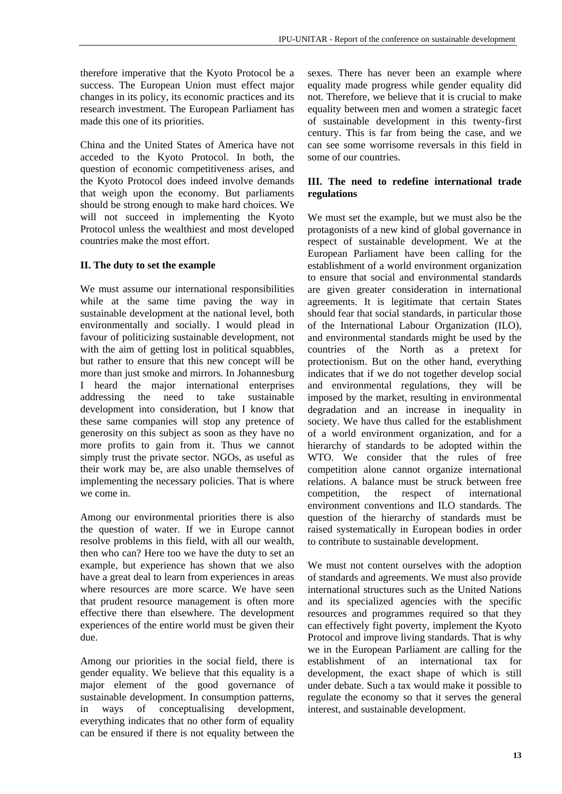therefore imperative that the Kyoto Protocol be a success. The European Union must effect major changes in its policy, its economic practices and its research investment. The European Parliament has made this one of its priorities.

China and the United States of America have not acceded to the Kyoto Protocol. In both, the question of economic competitiveness arises, and the Kyoto Protocol does indeed involve demands that weigh upon the economy. But parliaments should be strong enough to make hard choices. We will not succeed in implementing the Kyoto Protocol unless the wealthiest and most developed countries make the most effort.

#### **II. The duty to set the example**

We must assume our international responsibilities while at the same time paving the way in sustainable development at the national level, both environmentally and socially. I would plead in favour of politicizing sustainable development, not with the aim of getting lost in political squabbles, but rather to ensure that this new concept will be more than just smoke and mirrors. In Johannesburg I heard the major international enterprises addressing the need to take sustainable development into consideration, but I know that these same companies will stop any pretence of generosity on this subject as soon as they have no more profits to gain from it. Thus we cannot simply trust the private sector. NGOs, as useful as their work may be, are also unable themselves of implementing the necessary policies. That is where we come in.

Among our environmental priorities there is also the question of water. If we in Europe cannot resolve problems in this field, with all our wealth, then who can? Here too we have the duty to set an example, but experience has shown that we also have a great deal to learn from experiences in areas where resources are more scarce. We have seen that prudent resource management is often more effective there than elsewhere. The development experiences of the entire world must be given their due.

Among our priorities in the social field, there is gender equality. We believe that this equality is a major element of the good governance of sustainable development. In consumption patterns, in ways of conceptualising development, everything indicates that no other form of equality can be ensured if there is not equality between the sexes. There has never been an example where equality made progress while gender equality did not. Therefore, we believe that it is crucial to make equality between men and women a strategic facet of sustainable development in this twenty-first century. This is far from being the case, and we can see some worrisome reversals in this field in some of our countries.

#### **III. The need to redefine international trade regulations**

We must set the example, but we must also be the protagonists of a new kind of global governance in respect of sustainable development. We at the European Parliament have been calling for the establishment of a world environment organization to ensure that social and environmental standards are given greater consideration in international agreements. It is legitimate that certain States should fear that social standards, in particular those of the International Labour Organization (ILO), and environmental standards might be used by the countries of the North as a pretext for protectionism. But on the other hand, everything indicates that if we do not together develop social and environmental regulations, they will be imposed by the market, resulting in environmental degradation and an increase in inequality in society. We have thus called for the establishment of a world environment organization, and for a hierarchy of standards to be adopted within the WTO. We consider that the rules of free competition alone cannot organize international relations. A balance must be struck between free competition, the respect of international environment conventions and ILO standards. The question of the hierarchy of standards must be raised systematically in European bodies in order to contribute to sustainable development.

We must not content ourselves with the adoption of standards and agreements. We must also provide international structures such as the United Nations and its specialized agencies with the specific resources and programmes required so that they can effectively fight poverty, implement the Kyoto Protocol and improve living standards. That is why we in the European Parliament are calling for the establishment of an international tax for development, the exact shape of which is still under debate. Such a tax would make it possible to regulate the economy so that it serves the general interest, and sustainable development.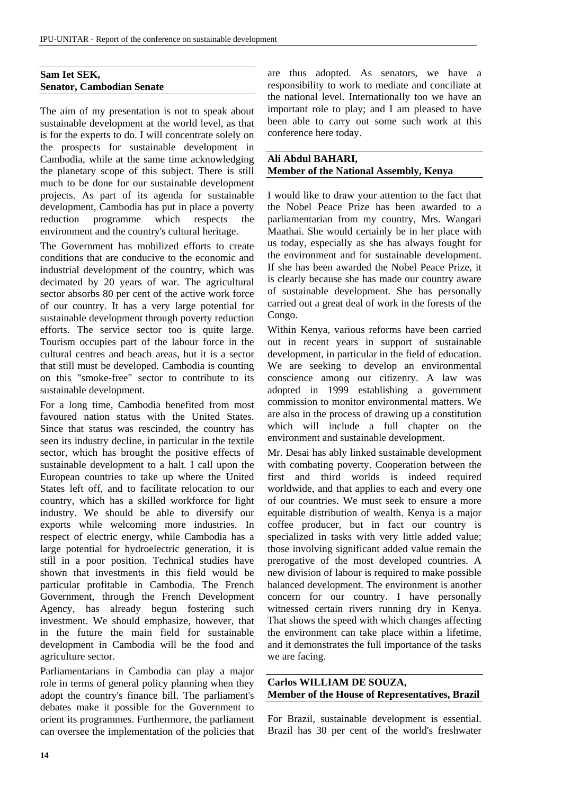#### **Sam Iet SEK, Senator, Cambodian Senate**

The aim of my presentation is not to speak about sustainable development at the world level, as that is for the experts to do. I will concentrate solely on the prospects for sustainable development in Cambodia, while at the same time acknowledging the planetary scope of this subject. There is still much to be done for our sustainable development projects. As part of its agenda for sustainable development, Cambodia has put in place a poverty reduction programme which respects the environment and the country's cultural heritage.

The Government has mobilized efforts to create conditions that are conducive to the economic and industrial development of the country, which was decimated by 20 years of war. The agricultural sector absorbs 80 per cent of the active work force of our country. It has a very large potential for sustainable development through poverty reduction efforts. The service sector too is quite large. Tourism occupies part of the labour force in the cultural centres and beach areas, but it is a sector that still must be developed. Cambodia is counting on this "smoke-free" sector to contribute to its sustainable development.

For a long time, Cambodia benefited from most favoured nation status with the United States. Since that status was rescinded, the country has seen its industry decline, in particular in the textile sector, which has brought the positive effects of sustainable development to a halt. I call upon the European countries to take up where the United States left off, and to facilitate relocation to our country, which has a skilled workforce for light industry. We should be able to diversify our exports while welcoming more industries. In respect of electric energy, while Cambodia has a large potential for hydroelectric generation, it is still in a poor position. Technical studies have shown that investments in this field would be particular profitable in Cambodia. The French Government, through the French Development Agency, has already begun fostering such investment. We should emphasize, however, that in the future the main field for sustainable development in Cambodia will be the food and agriculture sector.

Parliamentarians in Cambodia can play a major role in terms of general policy planning when they adopt the country's finance bill. The parliament's debates make it possible for the Government to orient its programmes. Furthermore, the parliament can oversee the implementation of the policies that are thus adopted. As senators, we have a responsibility to work to mediate and conciliate at the national level. Internationally too we have an important role to play; and I am pleased to have been able to carry out some such work at this conference here today.

#### **Ali Abdul BAHARI, Member of the National Assembly, Kenya**

I would like to draw your attention to the fact that the Nobel Peace Prize has been awarded to a parliamentarian from my country, Mrs. Wangari Maathai. She would certainly be in her place with us today, especially as she has always fought for the environment and for sustainable development. If she has been awarded the Nobel Peace Prize, it is clearly because she has made our country aware of sustainable development. She has personally carried out a great deal of work in the forests of the Congo.

Within Kenya, various reforms have been carried out in recent years in support of sustainable development, in particular in the field of education. We are seeking to develop an environmental conscience among our citizenry. A law was adopted in 1999 establishing a government commission to monitor environmental matters. We are also in the process of drawing up a constitution which will include a full chapter on the environment and sustainable development.

Mr. Desai has ably linked sustainable development with combating poverty. Cooperation between the first and third worlds is indeed required worldwide, and that applies to each and every one of our countries. We must seek to ensure a more equitable distribution of wealth. Kenya is a major coffee producer, but in fact our country is specialized in tasks with very little added value; those involving significant added value remain the prerogative of the most developed countries. A new division of labour is required to make possible balanced development. The environment is another concern for our country. I have personally witnessed certain rivers running dry in Kenya. That shows the speed with which changes affecting the environment can take place within a lifetime, and it demonstrates the full importance of the tasks we are facing.

**Carlos WILLIAM DE SOUZA, Member of the House of Representatives, Brazil** 

For Brazil, sustainable development is essential. Brazil has 30 per cent of the world's freshwater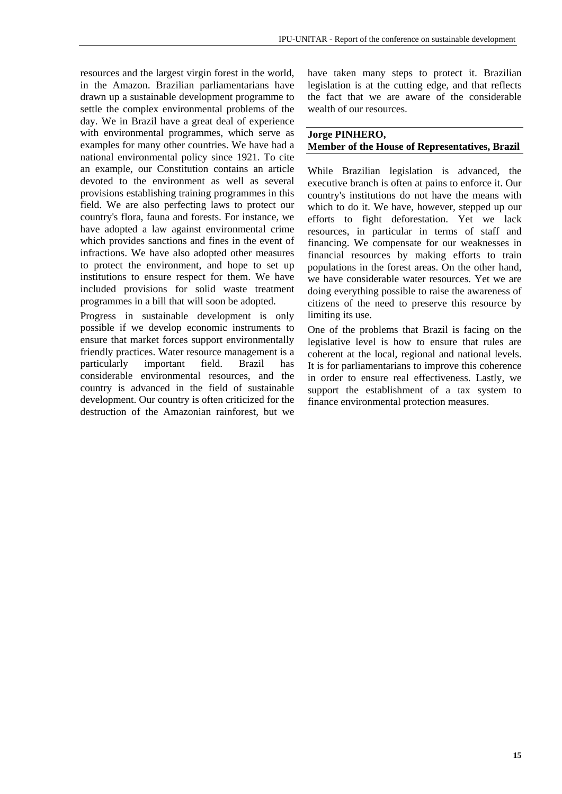resources and the largest virgin forest in the world, in the Amazon. Brazilian parliamentarians have drawn up a sustainable development programme to settle the complex environmental problems of the day. We in Brazil have a great deal of experience with environmental programmes, which serve as examples for many other countries. We have had a national environmental policy since 1921. To cite an example, our Constitution contains an article devoted to the environment as well as several provisions establishing training programmes in this field. We are also perfecting laws to protect our country's flora, fauna and forests. For instance, we have adopted a law against environmental crime which provides sanctions and fines in the event of infractions. We have also adopted other measures to protect the environment, and hope to set up institutions to ensure respect for them. We have included provisions for solid waste treatment programmes in a bill that will soon be adopted.

Progress in sustainable development is only possible if we develop economic instruments to ensure that market forces support environmentally friendly practices. Water resource management is a particularly important field. Brazil has considerable environmental resources, and the country is advanced in the field of sustainable development. Our country is often criticized for the destruction of the Amazonian rainforest, but we

have taken many steps to protect it. Brazilian legislation is at the cutting edge, and that reflects the fact that we are aware of the considerable wealth of our resources.

#### **Jorge PINHERO,**

#### **Member of the House of Representatives, Brazil**

While Brazilian legislation is advanced, the executive branch is often at pains to enforce it. Our country's institutions do not have the means with which to do it. We have, however, stepped up our efforts to fight deforestation. Yet we lack resources, in particular in terms of staff and financing. We compensate for our weaknesses in financial resources by making efforts to train populations in the forest areas. On the other hand, we have considerable water resources. Yet we are doing everything possible to raise the awareness of citizens of the need to preserve this resource by limiting its use.

One of the problems that Brazil is facing on the legislative level is how to ensure that rules are coherent at the local, regional and national levels. It is for parliamentarians to improve this coherence in order to ensure real effectiveness. Lastly, we support the establishment of a tax system to finance environmental protection measures.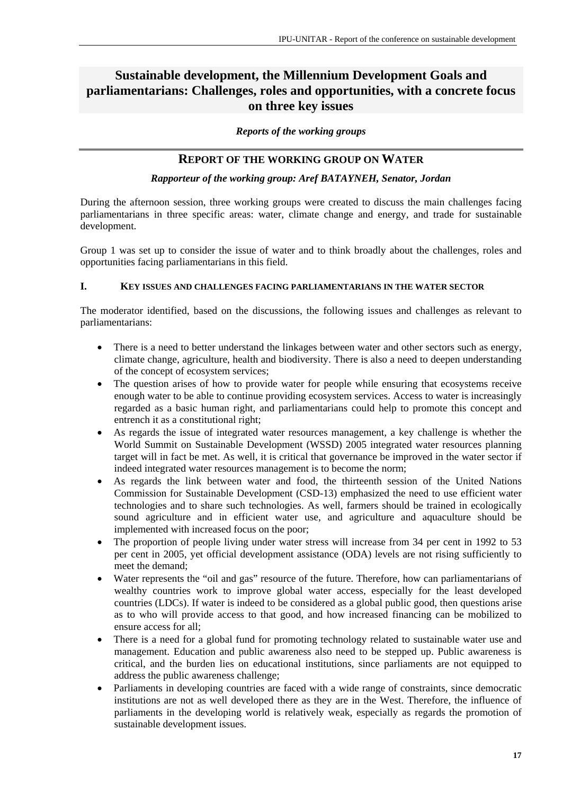# **Sustainable development, the Millennium Development Goals and parliamentarians: Challenges, roles and opportunities, with a concrete focus on three key issues**

*Reports of the working groups* 

## **REPORT OF THE WORKING GROUP ON WATER**

#### *Rapporteur of the working group: Aref BATAYNEH, Senator, Jordan*

During the afternoon session, three working groups were created to discuss the main challenges facing parliamentarians in three specific areas: water, climate change and energy, and trade for sustainable development.

Group 1 was set up to consider the issue of water and to think broadly about the challenges, roles and opportunities facing parliamentarians in this field.

#### **I. KEY ISSUES AND CHALLENGES FACING PARLIAMENTARIANS IN THE WATER SECTOR**

The moderator identified, based on the discussions, the following issues and challenges as relevant to parliamentarians:

- There is a need to better understand the linkages between water and other sectors such as energy, climate change, agriculture, health and biodiversity. There is also a need to deepen understanding of the concept of ecosystem services;
- The question arises of how to provide water for people while ensuring that ecosystems receive enough water to be able to continue providing ecosystem services. Access to water is increasingly regarded as a basic human right, and parliamentarians could help to promote this concept and entrench it as a constitutional right;
- As regards the issue of integrated water resources management, a key challenge is whether the World Summit on Sustainable Development (WSSD) 2005 integrated water resources planning target will in fact be met. As well, it is critical that governance be improved in the water sector if indeed integrated water resources management is to become the norm;
- As regards the link between water and food, the thirteenth session of the United Nations Commission for Sustainable Development (CSD-13) emphasized the need to use efficient water technologies and to share such technologies. As well, farmers should be trained in ecologically sound agriculture and in efficient water use, and agriculture and aquaculture should be implemented with increased focus on the poor;
- The proportion of people living under water stress will increase from 34 per cent in 1992 to 53 per cent in 2005, yet official development assistance (ODA) levels are not rising sufficiently to meet the demand;
- Water represents the "oil and gas" resource of the future. Therefore, how can parliamentarians of wealthy countries work to improve global water access, especially for the least developed countries (LDCs). If water is indeed to be considered as a global public good, then questions arise as to who will provide access to that good, and how increased financing can be mobilized to ensure access for all;
- There is a need for a global fund for promoting technology related to sustainable water use and management. Education and public awareness also need to be stepped up. Public awareness is critical, and the burden lies on educational institutions, since parliaments are not equipped to address the public awareness challenge;
- Parliaments in developing countries are faced with a wide range of constraints, since democratic institutions are not as well developed there as they are in the West. Therefore, the influence of parliaments in the developing world is relatively weak, especially as regards the promotion of sustainable development issues.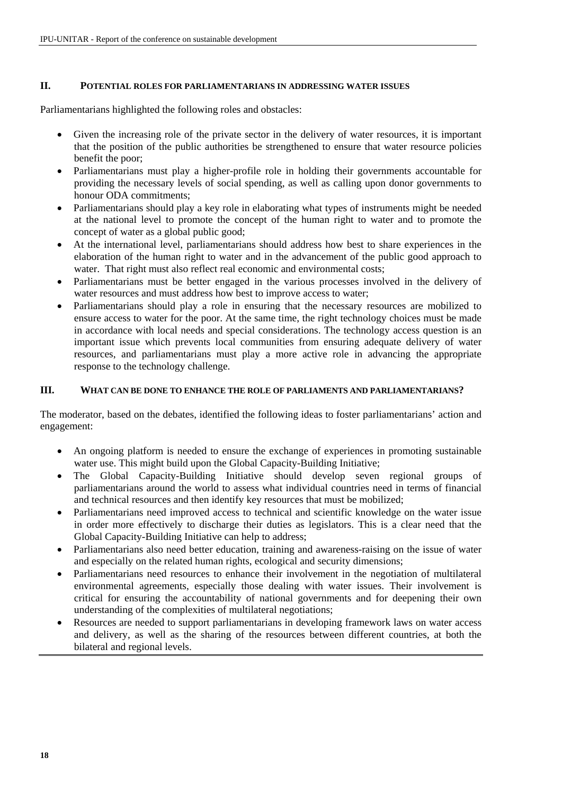#### **II. POTENTIAL ROLES FOR PARLIAMENTARIANS IN ADDRESSING WATER ISSUES**

Parliamentarians highlighted the following roles and obstacles:

- Given the increasing role of the private sector in the delivery of water resources, it is important that the position of the public authorities be strengthened to ensure that water resource policies benefit the poor;
- Parliamentarians must play a higher-profile role in holding their governments accountable for providing the necessary levels of social spending, as well as calling upon donor governments to honour ODA commitments;
- Parliamentarians should play a key role in elaborating what types of instruments might be needed at the national level to promote the concept of the human right to water and to promote the concept of water as a global public good;
- At the international level, parliamentarians should address how best to share experiences in the elaboration of the human right to water and in the advancement of the public good approach to water. That right must also reflect real economic and environmental costs;
- Parliamentarians must be better engaged in the various processes involved in the delivery of water resources and must address how best to improve access to water;
- Parliamentarians should play a role in ensuring that the necessary resources are mobilized to ensure access to water for the poor. At the same time, the right technology choices must be made in accordance with local needs and special considerations. The technology access question is an important issue which prevents local communities from ensuring adequate delivery of water resources, and parliamentarians must play a more active role in advancing the appropriate response to the technology challenge.

#### **III. WHAT CAN BE DONE TO ENHANCE THE ROLE OF PARLIAMENTS AND PARLIAMENTARIANS?**

The moderator, based on the debates, identified the following ideas to foster parliamentarians' action and engagement:

- An ongoing platform is needed to ensure the exchange of experiences in promoting sustainable water use. This might build upon the Global Capacity-Building Initiative;
- The Global Capacity-Building Initiative should develop seven regional groups of parliamentarians around the world to assess what individual countries need in terms of financial and technical resources and then identify key resources that must be mobilized;
- Parliamentarians need improved access to technical and scientific knowledge on the water issue in order more effectively to discharge their duties as legislators. This is a clear need that the Global Capacity-Building Initiative can help to address;
- Parliamentarians also need better education, training and awareness-raising on the issue of water and especially on the related human rights, ecological and security dimensions;
- Parliamentarians need resources to enhance their involvement in the negotiation of multilateral environmental agreements, especially those dealing with water issues. Their involvement is critical for ensuring the accountability of national governments and for deepening their own understanding of the complexities of multilateral negotiations;
- Resources are needed to support parliamentarians in developing framework laws on water access and delivery, as well as the sharing of the resources between different countries, at both the bilateral and regional levels.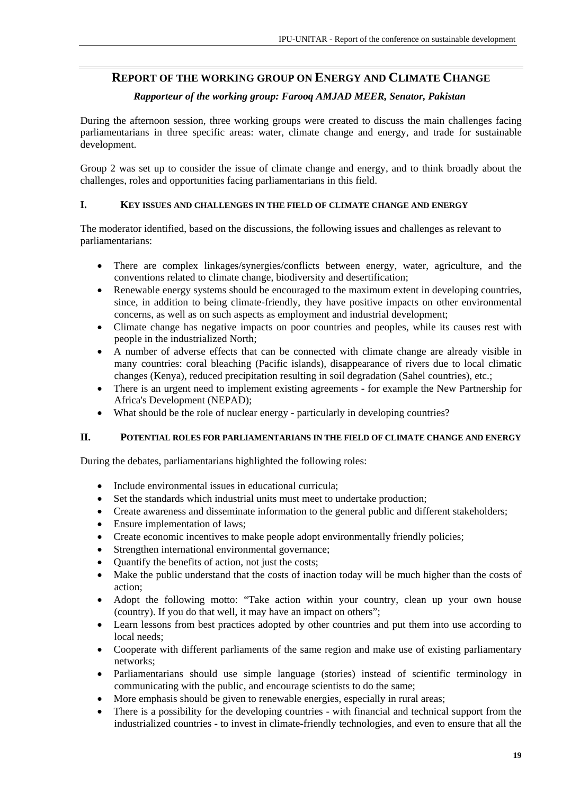# **REPORT OF THE WORKING GROUP ON ENERGY AND CLIMATE CHANGE**

#### *Rapporteur of the working group: Farooq AMJAD MEER, Senator, Pakistan*

During the afternoon session, three working groups were created to discuss the main challenges facing parliamentarians in three specific areas: water, climate change and energy, and trade for sustainable development.

Group 2 was set up to consider the issue of climate change and energy, and to think broadly about the challenges, roles and opportunities facing parliamentarians in this field.

#### **I. KEY ISSUES AND CHALLENGES IN THE FIELD OF CLIMATE CHANGE AND ENERGY**

The moderator identified, based on the discussions, the following issues and challenges as relevant to parliamentarians:

- There are complex linkages/synergies/conflicts between energy, water, agriculture, and the conventions related to climate change, biodiversity and desertification;
- Renewable energy systems should be encouraged to the maximum extent in developing countries, since, in addition to being climate-friendly, they have positive impacts on other environmental concerns, as well as on such aspects as employment and industrial development;
- Climate change has negative impacts on poor countries and peoples, while its causes rest with people in the industrialized North;
- A number of adverse effects that can be connected with climate change are already visible in many countries: coral bleaching (Pacific islands), disappearance of rivers due to local climatic changes (Kenya), reduced precipitation resulting in soil degradation (Sahel countries), etc.;
- There is an urgent need to implement existing agreements for example the New Partnership for Africa's Development (NEPAD);
- What should be the role of nuclear energy particularly in developing countries?

#### **II. POTENTIAL ROLES FOR PARLIAMENTARIANS IN THE FIELD OF CLIMATE CHANGE AND ENERGY**

During the debates, parliamentarians highlighted the following roles:

- Include environmental issues in educational curricula:
- Set the standards which industrial units must meet to undertake production;
- Create awareness and disseminate information to the general public and different stakeholders;
- Ensure implementation of laws:
- Create economic incentives to make people adopt environmentally friendly policies;
- Strengthen international environmental governance;
- Quantify the benefits of action, not just the costs;
- Make the public understand that the costs of inaction today will be much higher than the costs of action;
- Adopt the following motto: "Take action within your country, clean up your own house (country). If you do that well, it may have an impact on others";
- Learn lessons from best practices adopted by other countries and put them into use according to local needs;
- Cooperate with different parliaments of the same region and make use of existing parliamentary networks;
- Parliamentarians should use simple language (stories) instead of scientific terminology in communicating with the public, and encourage scientists to do the same;
- More emphasis should be given to renewable energies, especially in rural areas;
- There is a possibility for the developing countries with financial and technical support from the industrialized countries - to invest in climate-friendly technologies, and even to ensure that all the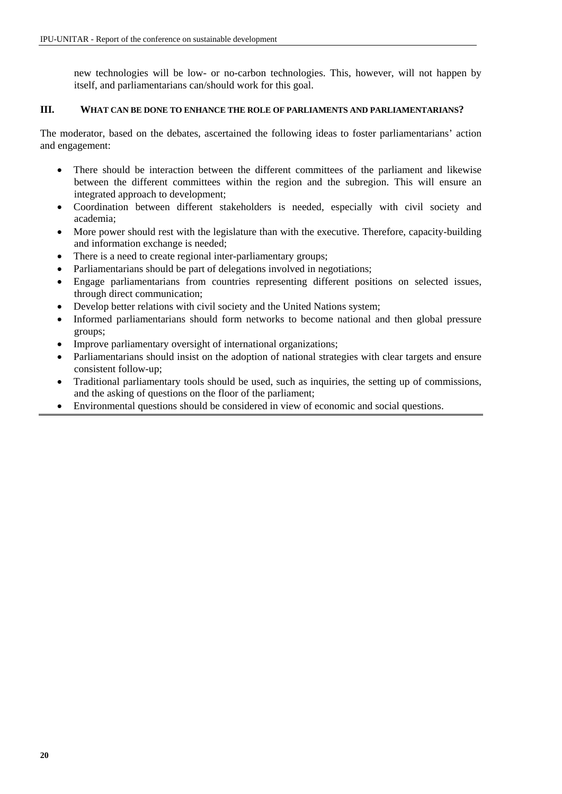new technologies will be low- or no-carbon technologies. This, however, will not happen by itself, and parliamentarians can/should work for this goal.

#### **III. WHAT CAN BE DONE TO ENHANCE THE ROLE OF PARLIAMENTS AND PARLIAMENTARIANS?**

The moderator, based on the debates, ascertained the following ideas to foster parliamentarians' action and engagement:

- There should be interaction between the different committees of the parliament and likewise between the different committees within the region and the subregion. This will ensure an integrated approach to development;
- Coordination between different stakeholders is needed, especially with civil society and academia;
- More power should rest with the legislature than with the executive. Therefore, capacity-building and information exchange is needed;
- There is a need to create regional inter-parliamentary groups:
- Parliamentarians should be part of delegations involved in negotiations;
- Engage parliamentarians from countries representing different positions on selected issues, through direct communication;
- Develop better relations with civil society and the United Nations system:
- Informed parliamentarians should form networks to become national and then global pressure groups;
- Improve parliamentary oversight of international organizations;
- Parliamentarians should insist on the adoption of national strategies with clear targets and ensure consistent follow-up;
- Traditional parliamentary tools should be used, such as inquiries, the setting up of commissions, and the asking of questions on the floor of the parliament;
- Environmental questions should be considered in view of economic and social questions.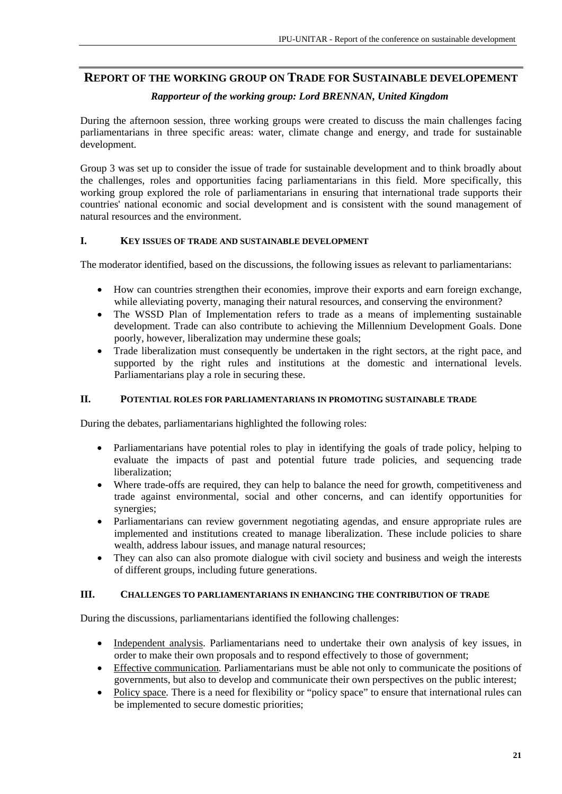# **REPORT OF THE WORKING GROUP ON TRADE FOR SUSTAINABLE DEVELOPEMENT**

#### *Rapporteur of the working group: Lord BRENNAN, United Kingdom*

During the afternoon session, three working groups were created to discuss the main challenges facing parliamentarians in three specific areas: water, climate change and energy, and trade for sustainable development.

Group 3 was set up to consider the issue of trade for sustainable development and to think broadly about the challenges, roles and opportunities facing parliamentarians in this field. More specifically, this working group explored the role of parliamentarians in ensuring that international trade supports their countries' national economic and social development and is consistent with the sound management of natural resources and the environment.

#### **I. KEY ISSUES OF TRADE AND SUSTAINABLE DEVELOPMENT**

The moderator identified, based on the discussions, the following issues as relevant to parliamentarians:

- How can countries strengthen their economies, improve their exports and earn foreign exchange, while alleviating poverty, managing their natural resources, and conserving the environment?
- The WSSD Plan of Implementation refers to trade as a means of implementing sustainable development. Trade can also contribute to achieving the Millennium Development Goals. Done poorly, however, liberalization may undermine these goals;
- Trade liberalization must consequently be undertaken in the right sectors, at the right pace, and supported by the right rules and institutions at the domestic and international levels. Parliamentarians play a role in securing these.

#### **II. POTENTIAL ROLES FOR PARLIAMENTARIANS IN PROMOTING SUSTAINABLE TRADE**

During the debates, parliamentarians highlighted the following roles:

- Parliamentarians have potential roles to play in identifying the goals of trade policy, helping to evaluate the impacts of past and potential future trade policies, and sequencing trade liberalization;
- Where trade-offs are required, they can help to balance the need for growth, competitiveness and trade against environmental, social and other concerns, and can identify opportunities for synergies;
- Parliamentarians can review government negotiating agendas, and ensure appropriate rules are implemented and institutions created to manage liberalization. These include policies to share wealth, address labour issues, and manage natural resources;
- They can also can also promote dialogue with civil society and business and weigh the interests of different groups, including future generations.

#### **III. CHALLENGES TO PARLIAMENTARIANS IN ENHANCING THE CONTRIBUTION OF TRADE**

During the discussions, parliamentarians identified the following challenges:

- Independent analysis. Parliamentarians need to undertake their own analysis of key issues, in order to make their own proposals and to respond effectively to those of government;
- Effective communication*.* Parliamentarians must be able not only to communicate the positions of governments, but also to develop and communicate their own perspectives on the public interest;
- Policy space*.* There is a need for flexibility or "policy space" to ensure that international rules can be implemented to secure domestic priorities;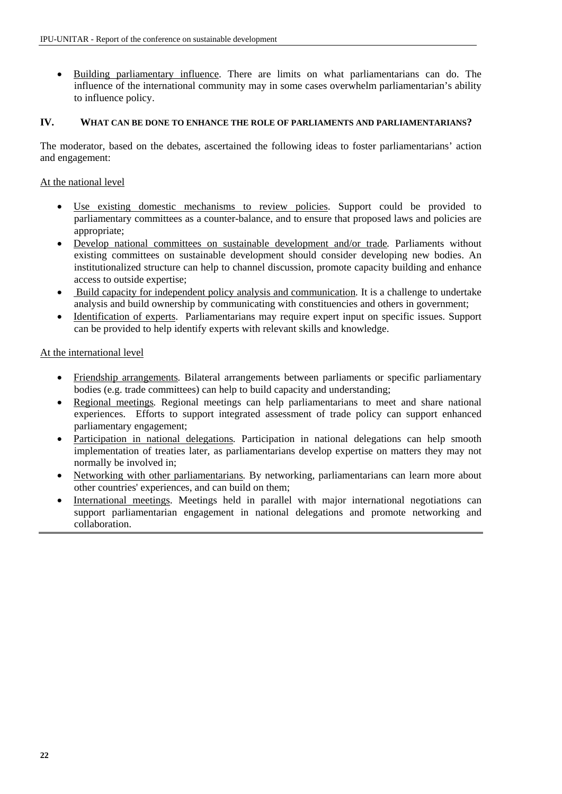• Building parliamentary influence. There are limits on what parliamentarians can do. The influence of the international community may in some cases overwhelm parliamentarian's ability to influence policy.

#### **IV. WHAT CAN BE DONE TO ENHANCE THE ROLE OF PARLIAMENTS AND PARLIAMENTARIANS?**

The moderator, based on the debates, ascertained the following ideas to foster parliamentarians' action and engagement:

#### At the national level

- Use existing domestic mechanisms to review policies. Support could be provided to parliamentary committees as a counter-balance, and to ensure that proposed laws and policies are appropriate;
- Develop national committees on sustainable development and/or trade*.* Parliaments without existing committees on sustainable development should consider developing new bodies. An institutionalized structure can help to channel discussion, promote capacity building and enhance access to outside expertise;
- Build capacity for independent policy analysis and communication*.* It is a challenge to undertake analysis and build ownership by communicating with constituencies and others in government;
- Identification of experts. Parliamentarians may require expert input on specific issues. Support can be provided to help identify experts with relevant skills and knowledge.

#### At the international level

- Friendship arrangements*.* Bilateral arrangements between parliaments or specific parliamentary bodies (e.g. trade committees) can help to build capacity and understanding;
- Regional meetings*.* Regional meetings can help parliamentarians to meet and share national experiences. Efforts to support integrated assessment of trade policy can support enhanced parliamentary engagement;
- Participation in national delegations. Participation in national delegations can help smooth implementation of treaties later, as parliamentarians develop expertise on matters they may not normally be involved in;
- Networking with other parliamentarians*.* By networking, parliamentarians can learn more about other countries' experiences, and can build on them;
- International meetings. Meetings held in parallel with major international negotiations can support parliamentarian engagement in national delegations and promote networking and collaboration.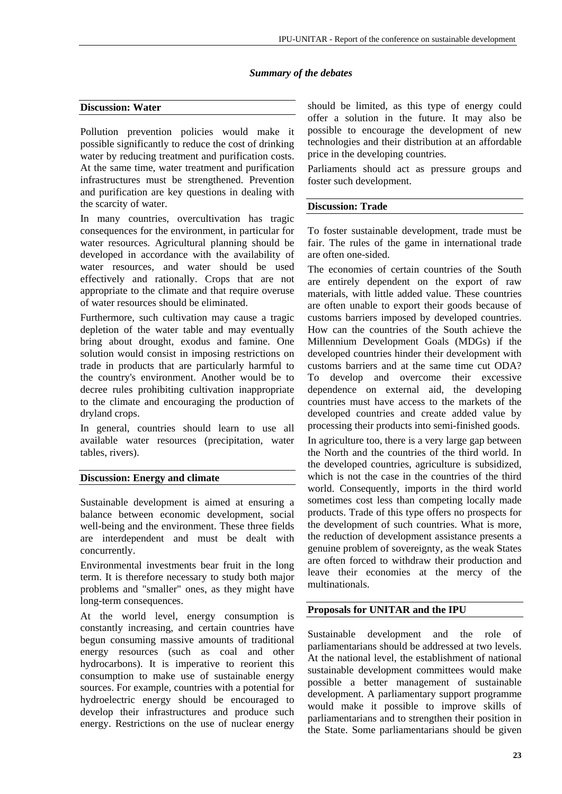#### *Summary of the debates*

#### **Discussion: Water**

Pollution prevention policies would make it possible significantly to reduce the cost of drinking water by reducing treatment and purification costs. At the same time, water treatment and purification infrastructures must be strengthened. Prevention and purification are key questions in dealing with the scarcity of water.

In many countries, overcultivation has tragic consequences for the environment, in particular for water resources. Agricultural planning should be developed in accordance with the availability of water resources, and water should be used effectively and rationally. Crops that are not appropriate to the climate and that require overuse of water resources should be eliminated.

Furthermore, such cultivation may cause a tragic depletion of the water table and may eventually bring about drought, exodus and famine. One solution would consist in imposing restrictions on trade in products that are particularly harmful to the country's environment. Another would be to decree rules prohibiting cultivation inappropriate to the climate and encouraging the production of dryland crops.

In general, countries should learn to use all available water resources (precipitation, water tables, rivers).

#### **Discussion: Energy and climate**

Sustainable development is aimed at ensuring a balance between economic development, social well-being and the environment. These three fields are interdependent and must be dealt with concurrently.

Environmental investments bear fruit in the long term. It is therefore necessary to study both major problems and "smaller" ones, as they might have long-term consequences.

At the world level, energy consumption is constantly increasing, and certain countries have begun consuming massive amounts of traditional energy resources (such as coal and other hydrocarbons). It is imperative to reorient this consumption to make use of sustainable energy sources. For example, countries with a potential for hydroelectric energy should be encouraged to develop their infrastructures and produce such energy. Restrictions on the use of nuclear energy should be limited, as this type of energy could offer a solution in the future. It may also be possible to encourage the development of new technologies and their distribution at an affordable price in the developing countries.

Parliaments should act as pressure groups and foster such development.

#### **Discussion: Trade**

To foster sustainable development, trade must be fair. The rules of the game in international trade are often one-sided.

The economies of certain countries of the South are entirely dependent on the export of raw materials, with little added value. These countries are often unable to export their goods because of customs barriers imposed by developed countries. How can the countries of the South achieve the Millennium Development Goals (MDGs) if the developed countries hinder their development with customs barriers and at the same time cut ODA? To develop and overcome their excessive dependence on external aid, the developing countries must have access to the markets of the developed countries and create added value by processing their products into semi-finished goods.

In agriculture too, there is a very large gap between the North and the countries of the third world. In the developed countries, agriculture is subsidized, which is not the case in the countries of the third world. Consequently, imports in the third world sometimes cost less than competing locally made products. Trade of this type offers no prospects for the development of such countries. What is more, the reduction of development assistance presents a genuine problem of sovereignty, as the weak States are often forced to withdraw their production and leave their economies at the mercy of the multinationals.

#### **Proposals for UNITAR and the IPU**

Sustainable development and the role of parliamentarians should be addressed at two levels. At the national level, the establishment of national sustainable development committees would make possible a better management of sustainable development. A parliamentary support programme would make it possible to improve skills of parliamentarians and to strengthen their position in the State. Some parliamentarians should be given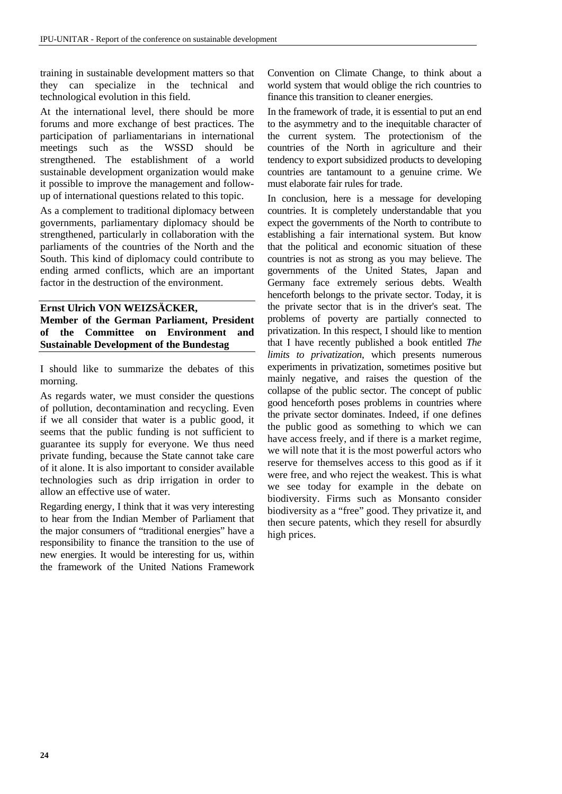training in sustainable development matters so that they can specialize in the technical and technological evolution in this field.

At the international level, there should be more forums and more exchange of best practices. The participation of parliamentarians in international meetings such as the WSSD should be strengthened. The establishment of a world sustainable development organization would make it possible to improve the management and followup of international questions related to this topic.

As a complement to traditional diplomacy between governments, parliamentary diplomacy should be strengthened, particularly in collaboration with the parliaments of the countries of the North and the South. This kind of diplomacy could contribute to ending armed conflicts, which are an important factor in the destruction of the environment.

#### **Ernst Ulrich VON WEIZSÄCKER, Member of the German Parliament, President of the Committee on Environment and Sustainable Development of the Bundestag**

I should like to summarize the debates of this morning.

As regards water, we must consider the questions of pollution, decontamination and recycling. Even if we all consider that water is a public good, it seems that the public funding is not sufficient to guarantee its supply for everyone. We thus need private funding, because the State cannot take care of it alone. It is also important to consider available technologies such as drip irrigation in order to allow an effective use of water.

Regarding energy, I think that it was very interesting to hear from the Indian Member of Parliament that the major consumers of "traditional energies" have a responsibility to finance the transition to the use of new energies. It would be interesting for us, within the framework of the United Nations Framework

Convention on Climate Change, to think about a world system that would oblige the rich countries to finance this transition to cleaner energies.

In the framework of trade, it is essential to put an end to the asymmetry and to the inequitable character of the current system. The protectionism of the countries of the North in agriculture and their tendency to export subsidized products to developing countries are tantamount to a genuine crime. We must elaborate fair rules for trade.

In conclusion, here is a message for developing countries. It is completely understandable that you expect the governments of the North to contribute to establishing a fair international system. But know that the political and economic situation of these countries is not as strong as you may believe. The governments of the United States, Japan and Germany face extremely serious debts. Wealth henceforth belongs to the private sector. Today, it is the private sector that is in the driver's seat. The problems of poverty are partially connected to privatization. In this respect, I should like to mention that I have recently published a book entitled *The limits to privatization*, which presents numerous experiments in privatization, sometimes positive but mainly negative, and raises the question of the collapse of the public sector. The concept of public good henceforth poses problems in countries where the private sector dominates. Indeed, if one defines the public good as something to which we can have access freely, and if there is a market regime, we will note that it is the most powerful actors who reserve for themselves access to this good as if it were free, and who reject the weakest. This is what we see today for example in the debate on biodiversity. Firms such as Monsanto consider biodiversity as a "free" good. They privatize it, and then secure patents, which they resell for absurdly high prices.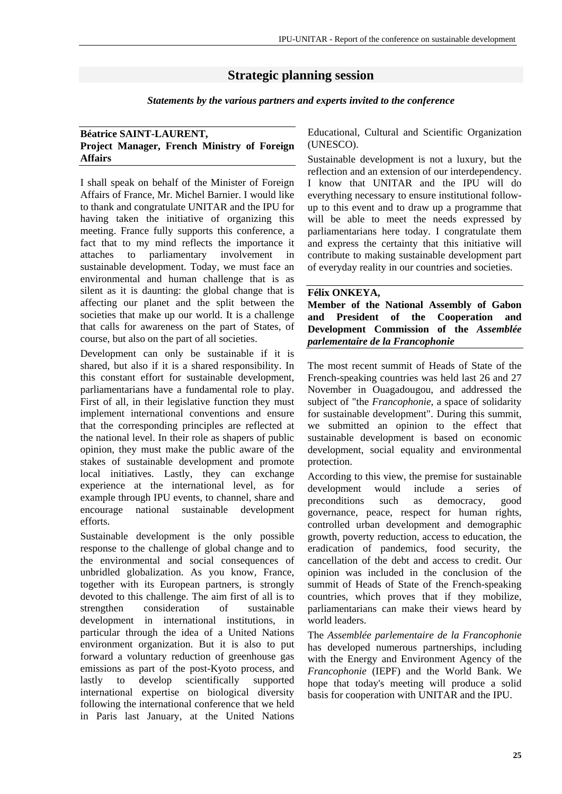# **Strategic planning session**

*Statements by the various partners and experts invited to the conference*

#### **Béatrice SAINT-LAURENT, Project Manager, French Ministry of Foreign Affairs**

I shall speak on behalf of the Minister of Foreign Affairs of France, Mr. Michel Barnier. I would like to thank and congratulate UNITAR and the IPU for having taken the initiative of organizing this meeting. France fully supports this conference, a fact that to my mind reflects the importance it attaches to parliamentary involvement in sustainable development. Today, we must face an environmental and human challenge that is as silent as it is daunting: the global change that is affecting our planet and the split between the societies that make up our world. It is a challenge that calls for awareness on the part of States, of course, but also on the part of all societies.

Development can only be sustainable if it is shared, but also if it is a shared responsibility. In this constant effort for sustainable development, parliamentarians have a fundamental role to play. First of all, in their legislative function they must implement international conventions and ensure that the corresponding principles are reflected at the national level. In their role as shapers of public opinion, they must make the public aware of the stakes of sustainable development and promote local initiatives. Lastly, they can exchange experience at the international level, as for example through IPU events, to channel, share and encourage national sustainable development efforts.

Sustainable development is the only possible response to the challenge of global change and to the environmental and social consequences of unbridled globalization. As you know, France, together with its European partners, is strongly devoted to this challenge. The aim first of all is to strengthen consideration of sustainable development in international institutions, in particular through the idea of a United Nations environment organization. But it is also to put forward a voluntary reduction of greenhouse gas emissions as part of the post-Kyoto process, and lastly to develop scientifically supported international expertise on biological diversity following the international conference that we held in Paris last January, at the United Nations Educational, Cultural and Scientific Organization (UNESCO).

Sustainable development is not a luxury, but the reflection and an extension of our interdependency. I know that UNITAR and the IPU will do everything necessary to ensure institutional followup to this event and to draw up a programme that will be able to meet the needs expressed by parliamentarians here today. I congratulate them and express the certainty that this initiative will contribute to making sustainable development part of everyday reality in our countries and societies.

#### **Félix ONKEYA,**

**Member of the National Assembly of Gabon and President of the Cooperation and Development Commission of the** *Assemblée parlementaire de la Francophonie*

The most recent summit of Heads of State of the French-speaking countries was held last 26 and 27 November in Ouagadougou, and addressed the subject of "the *Francophonie*, a space of solidarity for sustainable development". During this summit, we submitted an opinion to the effect that sustainable development is based on economic development, social equality and environmental protection.

According to this view, the premise for sustainable development would include a series of preconditions such as democracy, good governance, peace, respect for human rights, controlled urban development and demographic growth, poverty reduction, access to education, the eradication of pandemics, food security, the cancellation of the debt and access to credit. Our opinion was included in the conclusion of the summit of Heads of State of the French-speaking countries, which proves that if they mobilize, parliamentarians can make their views heard by world leaders.

The *Assemblée parlementaire de la Francophonie* has developed numerous partnerships, including with the Energy and Environment Agency of the *Francophonie* (IEPF) and the World Bank. We hope that today's meeting will produce a solid basis for cooperation with UNITAR and the IPU.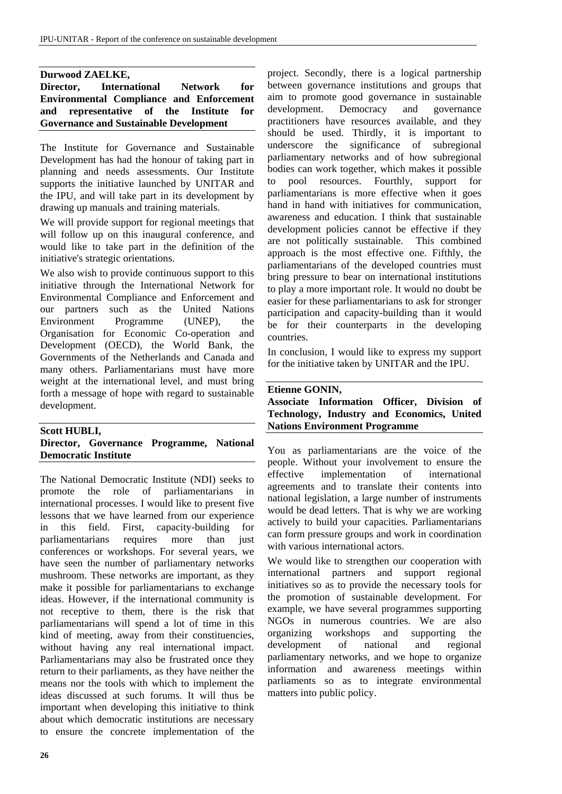#### **Durwood ZAELKE,**

**Director, International Network for Environmental Compliance and Enforcement and representative of the Institute for Governance and Sustainable Development** 

The Institute for Governance and Sustainable Development has had the honour of taking part in planning and needs assessments. Our Institute supports the initiative launched by UNITAR and the IPU, and will take part in its development by drawing up manuals and training materials.

We will provide support for regional meetings that will follow up on this inaugural conference, and would like to take part in the definition of the initiative's strategic orientations.

We also wish to provide continuous support to this initiative through the International Network for Environmental Compliance and Enforcement and our partners such as the United Nations Environment Programme (UNEP), the Organisation for Economic Co-operation and Development (OECD), the World Bank, the Governments of the Netherlands and Canada and many others. Parliamentarians must have more weight at the international level, and must bring forth a message of hope with regard to sustainable development.

#### **Scott HUBLI, Director, Governance Programme, National Democratic Institute**

The National Democratic Institute (NDI) seeks to promote the role of parliamentarians in international processes. I would like to present five lessons that we have learned from our experience in this field. First, capacity-building for parliamentarians requires more than just conferences or workshops. For several years, we have seen the number of parliamentary networks mushroom. These networks are important, as they make it possible for parliamentarians to exchange ideas. However, if the international community is not receptive to them, there is the risk that parliamentarians will spend a lot of time in this kind of meeting, away from their constituencies, without having any real international impact. Parliamentarians may also be frustrated once they return to their parliaments, as they have neither the means nor the tools with which to implement the ideas discussed at such forums. It will thus be important when developing this initiative to think about which democratic institutions are necessary to ensure the concrete implementation of the project. Secondly, there is a logical partnership between governance institutions and groups that aim to promote good governance in sustainable development. Democracy and governance practitioners have resources available, and they should be used. Thirdly, it is important to underscore the significance of subregional parliamentary networks and of how subregional bodies can work together, which makes it possible to pool resources. Fourthly, support for parliamentarians is more effective when it goes hand in hand with initiatives for communication, awareness and education. I think that sustainable development policies cannot be effective if they are not politically sustainable. This combined approach is the most effective one. Fifthly, the parliamentarians of the developed countries must bring pressure to bear on international institutions to play a more important role. It would no doubt be easier for these parliamentarians to ask for stronger participation and capacity-building than it would be for their counterparts in the developing countries.

In conclusion, I would like to express my support for the initiative taken by UNITAR and the IPU.

#### **Etienne GONIN,**

#### **Associate Information Officer, Division of Technology, Industry and Economics, United Nations Environment Programme**

You as parliamentarians are the voice of the people. Without your involvement to ensure the effective implementation of international agreements and to translate their contents into national legislation, a large number of instruments would be dead letters. That is why we are working actively to build your capacities. Parliamentarians can form pressure groups and work in coordination with various international actors.

We would like to strengthen our cooperation with international partners and support regional initiatives so as to provide the necessary tools for the promotion of sustainable development. For example, we have several programmes supporting NGOs in numerous countries. We are also organizing workshops and supporting the development of national and regional parliamentary networks, and we hope to organize information and awareness meetings within parliaments so as to integrate environmental matters into public policy.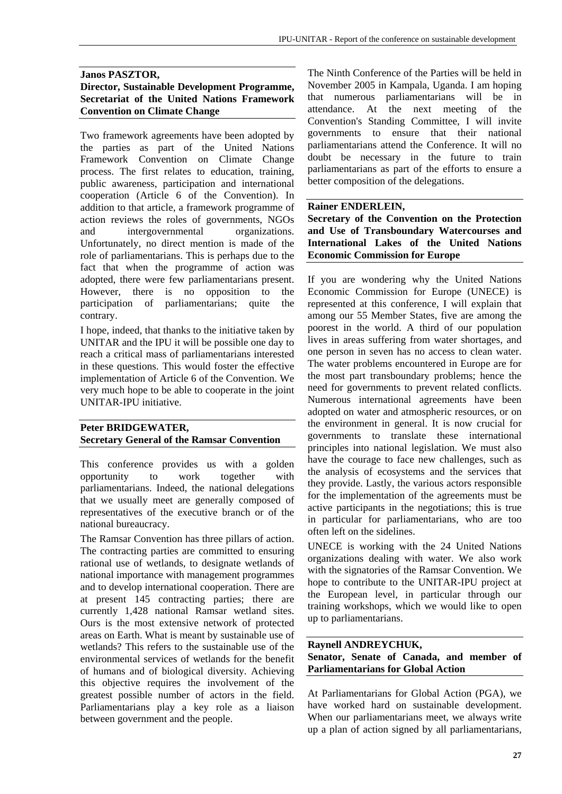# **Janos PASZTOR,**

#### **Director, Sustainable Development Programme, Secretariat of the United Nations Framework Convention on Climate Change**

Two framework agreements have been adopted by the parties as part of the United Nations Framework Convention on Climate Change process. The first relates to education, training, public awareness, participation and international cooperation (Article 6 of the Convention). In addition to that article, a framework programme of action reviews the roles of governments, NGOs and intergovernmental organizations. Unfortunately, no direct mention is made of the role of parliamentarians. This is perhaps due to the fact that when the programme of action was adopted, there were few parliamentarians present. However, there is no opposition to the participation of parliamentarians; quite the contrary.

I hope, indeed, that thanks to the initiative taken by UNITAR and the IPU it will be possible one day to reach a critical mass of parliamentarians interested in these questions. This would foster the effective implementation of Article 6 of the Convention. We very much hope to be able to cooperate in the joint UNITAR-IPU initiative.

#### **Peter BRIDGEWATER, Secretary General of the Ramsar Convention**

This conference provides us with a golden opportunity to work together with parliamentarians. Indeed, the national delegations that we usually meet are generally composed of representatives of the executive branch or of the national bureaucracy.

The Ramsar Convention has three pillars of action. The contracting parties are committed to ensuring rational use of wetlands, to designate wetlands of national importance with management programmes and to develop international cooperation. There are at present 145 contracting parties; there are currently 1,428 national Ramsar wetland sites. Ours is the most extensive network of protected areas on Earth. What is meant by sustainable use of wetlands? This refers to the sustainable use of the environmental services of wetlands for the benefit of humans and of biological diversity. Achieving this objective requires the involvement of the greatest possible number of actors in the field. Parliamentarians play a key role as a liaison between government and the people.

The Ninth Conference of the Parties will be held in November 2005 in Kampala, Uganda. I am hoping that numerous parliamentarians will be in attendance. At the next meeting of the Convention's Standing Committee, I will invite governments to ensure that their national parliamentarians attend the Conference. It will no doubt be necessary in the future to train parliamentarians as part of the efforts to ensure a better composition of the delegations.

#### **Rainer ENDERLEIN,**

**Secretary of the Convention on the Protection and Use of Transboundary Watercourses and International Lakes of the United Nations Economic Commission for Europe** 

If you are wondering why the United Nations Economic Commission for Europe (UNECE) is represented at this conference, I will explain that among our 55 Member States, five are among the poorest in the world. A third of our population lives in areas suffering from water shortages, and one person in seven has no access to clean water. The water problems encountered in Europe are for the most part transboundary problems; hence the need for governments to prevent related conflicts. Numerous international agreements have been adopted on water and atmospheric resources, or on the environment in general. It is now crucial for governments to translate these international principles into national legislation. We must also have the courage to face new challenges, such as the analysis of ecosystems and the services that they provide. Lastly, the various actors responsible for the implementation of the agreements must be active participants in the negotiations; this is true in particular for parliamentarians, who are too often left on the sidelines.

UNECE is working with the 24 United Nations organizations dealing with water. We also work with the signatories of the Ramsar Convention. We hope to contribute to the UNITAR-IPU project at the European level, in particular through our training workshops, which we would like to open up to parliamentarians.

#### **Raynell ANDREYCHUK, Senator, Senate of Canada, and member of Parliamentarians for Global Action**

At Parliamentarians for Global Action (PGA), we have worked hard on sustainable development. When our parliamentarians meet, we always write up a plan of action signed by all parliamentarians,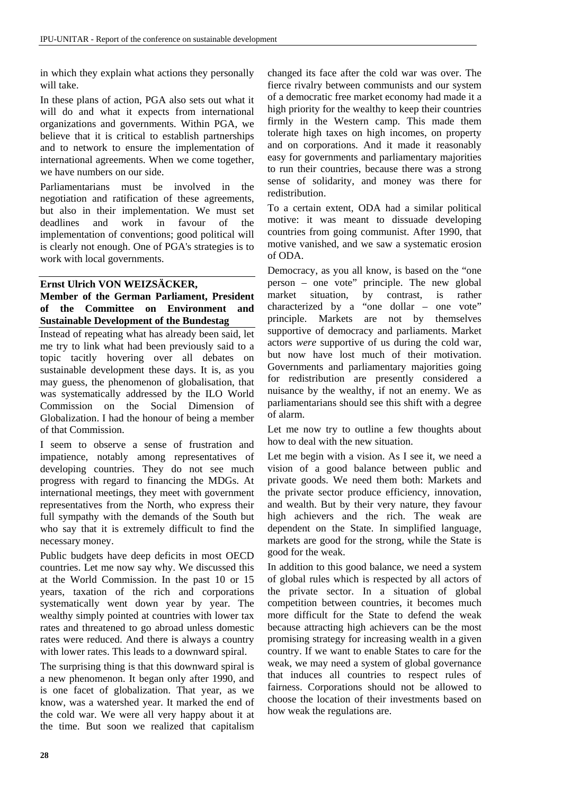in which they explain what actions they personally will take.

In these plans of action, PGA also sets out what it will do and what it expects from international organizations and governments. Within PGA, we believe that it is critical to establish partnerships and to network to ensure the implementation of international agreements. When we come together, we have numbers on our side.

Parliamentarians must be involved in the negotiation and ratification of these agreements, but also in their implementation. We must set deadlines and work in favour of the implementation of conventions; good political will is clearly not enough. One of PGA's strategies is to work with local governments.

#### **Ernst Ulrich VON WEIZSÄCKER,**

#### **Member of the German Parliament, President of the Committee on Environment and Sustainable Development of the Bundestag**

Instead of repeating what has already been said, let me try to link what had been previously said to a topic tacitly hovering over all debates on sustainable development these days. It is, as you may guess, the phenomenon of globalisation, that was systematically addressed by the ILO World Commission on the Social Dimension of Globalization. I had the honour of being a member of that Commission.

I seem to observe a sense of frustration and impatience, notably among representatives of developing countries. They do not see much progress with regard to financing the MDGs. At international meetings, they meet with government representatives from the North, who express their full sympathy with the demands of the South but who say that it is extremely difficult to find the necessary money.

Public budgets have deep deficits in most OECD countries. Let me now say why. We discussed this at the World Commission. In the past 10 or 15 years, taxation of the rich and corporations systematically went down year by year. The wealthy simply pointed at countries with lower tax rates and threatened to go abroad unless domestic rates were reduced. And there is always a country with lower rates. This leads to a downward spiral.

The surprising thing is that this downward spiral is a new phenomenon. It began only after 1990, and is one facet of globalization. That year, as we know, was a watershed year. It marked the end of the cold war. We were all very happy about it at the time. But soon we realized that capitalism

changed its face after the cold war was over. The fierce rivalry between communists and our system of a democratic free market economy had made it a high priority for the wealthy to keep their countries firmly in the Western camp. This made them tolerate high taxes on high incomes, on property and on corporations. And it made it reasonably easy for governments and parliamentary majorities to run their countries, because there was a strong sense of solidarity, and money was there for redistribution.

To a certain extent, ODA had a similar political motive: it was meant to dissuade developing countries from going communist. After 1990, that motive vanished, and we saw a systematic erosion of ODA.

Democracy, as you all know, is based on the "one person – one vote" principle. The new global market situation, by contrast, is rather characterized by a "one dollar – one vote" principle. Markets are not by themselves supportive of democracy and parliaments. Market actors *were* supportive of us during the cold war, but now have lost much of their motivation. Governments and parliamentary majorities going for redistribution are presently considered a nuisance by the wealthy, if not an enemy. We as parliamentarians should see this shift with a degree of alarm.

Let me now try to outline a few thoughts about how to deal with the new situation.

Let me begin with a vision. As I see it, we need a vision of a good balance between public and private goods. We need them both: Markets and the private sector produce efficiency, innovation, and wealth. But by their very nature, they favour high achievers and the rich. The weak are dependent on the State. In simplified language, markets are good for the strong, while the State is good for the weak.

In addition to this good balance, we need a system of global rules which is respected by all actors of the private sector. In a situation of global competition between countries, it becomes much more difficult for the State to defend the weak because attracting high achievers can be the most promising strategy for increasing wealth in a given country. If we want to enable States to care for the weak, we may need a system of global governance that induces all countries to respect rules of fairness. Corporations should not be allowed to choose the location of their investments based on how weak the regulations are.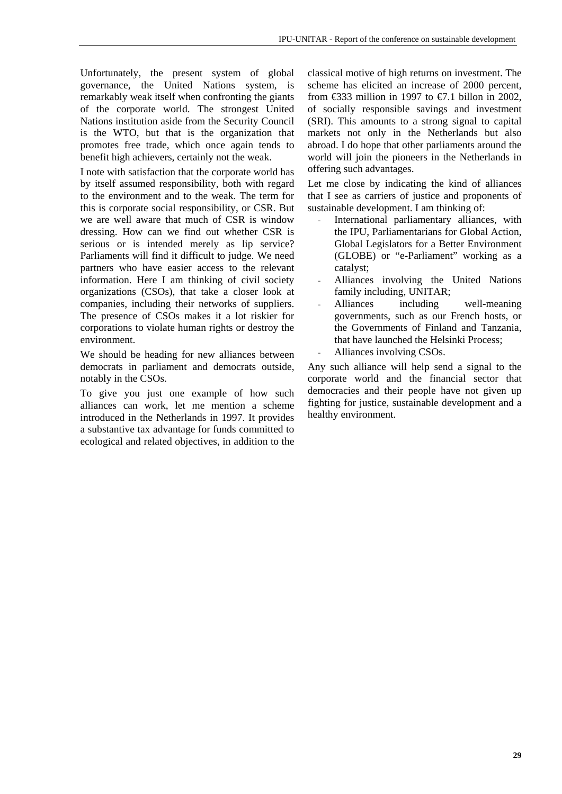Unfortunately, the present system of global governance, the United Nations system, is remarkably weak itself when confronting the giants of the corporate world. The strongest United Nations institution aside from the Security Council is the WTO, but that is the organization that promotes free trade, which once again tends to benefit high achievers, certainly not the weak.

I note with satisfaction that the corporate world has by itself assumed responsibility, both with regard to the environment and to the weak. The term for this is corporate social responsibility, or CSR. But we are well aware that much of CSR is window dressing. How can we find out whether CSR is serious or is intended merely as lip service? Parliaments will find it difficult to judge. We need partners who have easier access to the relevant information. Here I am thinking of civil society organizations (CSOs), that take a closer look at companies, including their networks of suppliers. The presence of CSOs makes it a lot riskier for corporations to violate human rights or destroy the environment.

We should be heading for new alliances between democrats in parliament and democrats outside, notably in the CSOs.

To give you just one example of how such alliances can work, let me mention a scheme introduced in the Netherlands in 1997. It provides a substantive tax advantage for funds committed to ecological and related objectives, in addition to the classical motive of high returns on investment. The scheme has elicited an increase of 2000 percent, from  $\text{\textsterling}333$  million in 1997 to  $\text{\textsterling}7.1$  billon in 2002, of socially responsible savings and investment (SRI). This amounts to a strong signal to capital markets not only in the Netherlands but also abroad. I do hope that other parliaments around the world will join the pioneers in the Netherlands in offering such advantages.

Let me close by indicating the kind of alliances that I see as carriers of justice and proponents of sustainable development. I am thinking of:

- International parliamentary alliances, with the IPU, Parliamentarians for Global Action, Global Legislators for a Better Environment (GLOBE) or "e-Parliament" working as a catalyst;
- Alliances involving the United Nations family including, UNITAR;
- Alliances including well-meaning governments, such as our French hosts, or the Governments of Finland and Tanzania, that have launched the Helsinki Process;
- Alliances involving CSOs.

Any such alliance will help send a signal to the corporate world and the financial sector that democracies and their people have not given up fighting for justice, sustainable development and a healthy environment.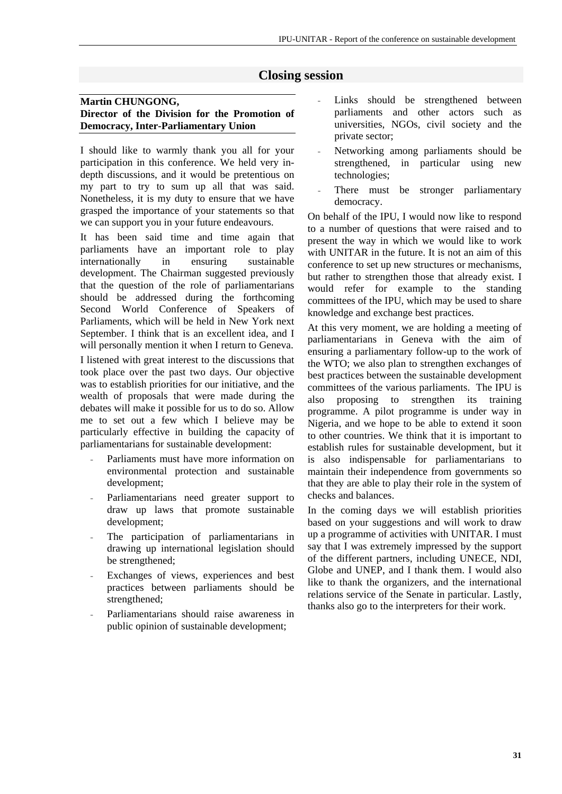### **Closing session**

#### **Martin CHUNGONG, Director of the Division for the Promotion of Democracy, Inter-Parliamentary Union**

I should like to warmly thank you all for your participation in this conference. We held very indepth discussions, and it would be pretentious on my part to try to sum up all that was said. Nonetheless, it is my duty to ensure that we have grasped the importance of your statements so that we can support you in your future endeavours.

It has been said time and time again that parliaments have an important role to play internationally in ensuring sustainable development. The Chairman suggested previously that the question of the role of parliamentarians should be addressed during the forthcoming Second World Conference of Speakers of Parliaments, which will be held in New York next September. I think that is an excellent idea, and I will personally mention it when I return to Geneva.

I listened with great interest to the discussions that took place over the past two days. Our objective was to establish priorities for our initiative, and the wealth of proposals that were made during the debates will make it possible for us to do so. Allow me to set out a few which I believe may be particularly effective in building the capacity of parliamentarians for sustainable development:

- Parliaments must have more information on environmental protection and sustainable development;
- Parliamentarians need greater support to draw up laws that promote sustainable development;
- The participation of parliamentarians in drawing up international legislation should be strengthened;
- Exchanges of views, experiences and best practices between parliaments should be strengthened;
- Parliamentarians should raise awareness in public opinion of sustainable development;
- Links should be strengthened between parliaments and other actors such as universities, NGOs, civil society and the private sector;
- Networking among parliaments should be strengthened, in particular using new technologies;
- There must be stronger parliamentary democracy.

On behalf of the IPU, I would now like to respond to a number of questions that were raised and to present the way in which we would like to work with UNITAR in the future. It is not an aim of this conference to set up new structures or mechanisms, but rather to strengthen those that already exist. I would refer for example to the standing committees of the IPU, which may be used to share knowledge and exchange best practices.

At this very moment, we are holding a meeting of parliamentarians in Geneva with the aim of ensuring a parliamentary follow-up to the work of the WTO; we also plan to strengthen exchanges of best practices between the sustainable development committees of the various parliaments. The IPU is also proposing to strengthen its training programme. A pilot programme is under way in Nigeria, and we hope to be able to extend it soon to other countries. We think that it is important to establish rules for sustainable development, but it is also indispensable for parliamentarians to maintain their independence from governments so that they are able to play their role in the system of checks and balances.

In the coming days we will establish priorities based on your suggestions and will work to draw up a programme of activities with UNITAR. I must say that I was extremely impressed by the support of the different partners, including UNECE, NDI, Globe and UNEP, and I thank them. I would also like to thank the organizers, and the international relations service of the Senate in particular. Lastly, thanks also go to the interpreters for their work.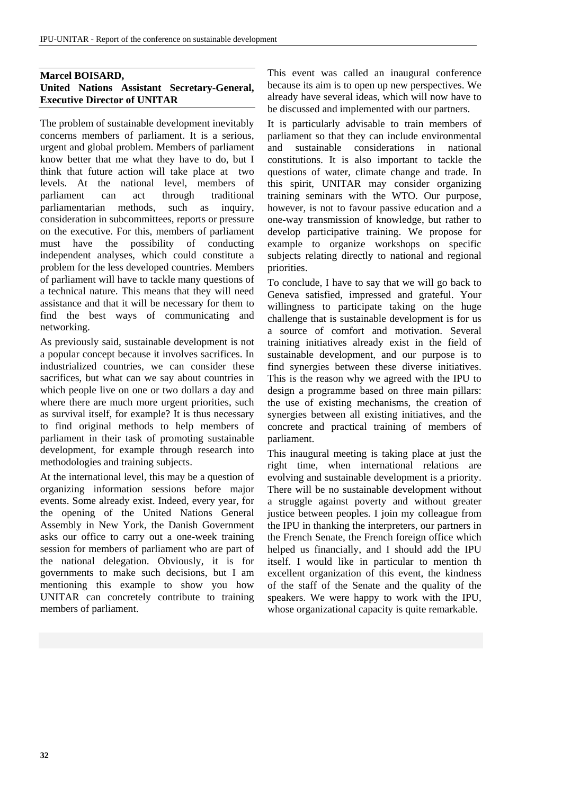#### **Marcel BOISARD, United Nations Assistant Secretary-General, Executive Director of UNITAR**

The problem of sustainable development inevitably concerns members of parliament. It is a serious, urgent and global problem. Members of parliament know better that me what they have to do, but I think that future action will take place at two levels. At the national level, members of parliament can act through traditional parliamentarian methods, such as inquiry, consideration in subcommittees, reports or pressure on the executive. For this, members of parliament must have the possibility of conducting independent analyses, which could constitute a problem for the less developed countries. Members of parliament will have to tackle many questions of a technical nature. This means that they will need assistance and that it will be necessary for them to find the best ways of communicating and networking.

As previously said, sustainable development is not a popular concept because it involves sacrifices. In industrialized countries, we can consider these sacrifices, but what can we say about countries in which people live on one or two dollars a day and where there are much more urgent priorities, such as survival itself, for example? It is thus necessary to find original methods to help members of parliament in their task of promoting sustainable development, for example through research into methodologies and training subjects.

At the international level, this may be a question of organizing information sessions before major events. Some already exist. Indeed, every year, for the opening of the United Nations General Assembly in New York, the Danish Government asks our office to carry out a one-week training session for members of parliament who are part of the national delegation. Obviously, it is for governments to make such decisions, but I am mentioning this example to show you how UNITAR can concretely contribute to training members of parliament.

This event was called an inaugural conference because its aim is to open up new perspectives. We already have several ideas, which will now have to be discussed and implemented with our partners.

It is particularly advisable to train members of parliament so that they can include environmental and sustainable considerations in national constitutions. It is also important to tackle the questions of water, climate change and trade. In this spirit, UNITAR may consider organizing training seminars with the WTO. Our purpose, however, is not to favour passive education and a one-way transmission of knowledge, but rather to develop participative training. We propose for example to organize workshops on specific subjects relating directly to national and regional priorities.

To conclude, I have to say that we will go back to Geneva satisfied, impressed and grateful. Your willingness to participate taking on the huge challenge that is sustainable development is for us a source of comfort and motivation. Several training initiatives already exist in the field of sustainable development, and our purpose is to find synergies between these diverse initiatives. This is the reason why we agreed with the IPU to design a programme based on three main pillars: the use of existing mechanisms, the creation of synergies between all existing initiatives, and the concrete and practical training of members of parliament.

This inaugural meeting is taking place at just the right time, when international relations are evolving and sustainable development is a priority. There will be no sustainable development without a struggle against poverty and without greater justice between peoples. I join my colleague from the IPU in thanking the interpreters, our partners in the French Senate, the French foreign office which helped us financially, and I should add the IPU itself. I would like in particular to mention th excellent organization of this event, the kindness of the staff of the Senate and the quality of the speakers. We were happy to work with the IPU, whose organizational capacity is quite remarkable.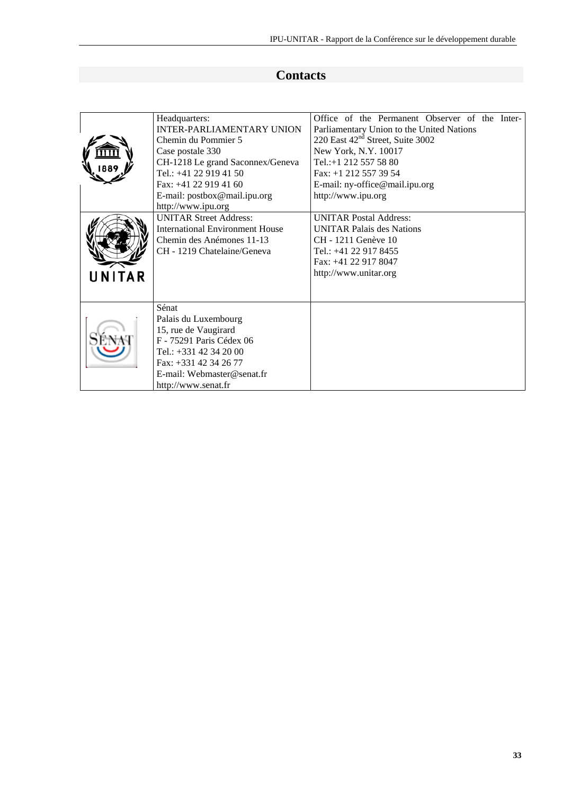# **Contacts**

|              | Headquarters:                          | Office of the Permanent Observer of the Inter- |
|--------------|----------------------------------------|------------------------------------------------|
|              | <b>INTER-PARLIAMENTARY UNION</b>       | Parliamentary Union to the United Nations      |
|              | Chemin du Pommier 5                    | 220 East 42 <sup>nd</sup> Street, Suite 3002   |
|              | Case postale 330                       | New York, N.Y. 10017                           |
|              | CH-1218 Le grand Saconnex/Geneva       | Tel.:+1 212 557 58 80                          |
|              | Tel.: $+41$ 22 919 41 50               | Fax: +1 212 557 39 54                          |
|              | Fax: $+41$ 22 919 41 60                | E-mail: ny-office@mail.ipu.org                 |
|              | E-mail: postbox@mail.ipu.org           | http://www.ipu.org                             |
|              | http://www.ipu.org                     |                                                |
|              | <b>UNITAR Street Address:</b>          | <b>UNITAR Postal Address:</b>                  |
|              | <b>International Environment House</b> | <b>UNITAR Palais des Nations</b>               |
|              | Chemin des Anémones 11-13              | CH - 1211 Genève 10                            |
|              | CH - 1219 Chatelaine/Geneva            | Tel.: +41 22 917 8455                          |
|              |                                        | Fax: +41 22 917 8047                           |
|              |                                        | http://www.unitar.org                          |
| <b>NITAR</b> |                                        |                                                |
|              |                                        |                                                |
|              | Sénat                                  |                                                |
|              | Palais du Luxembourg                   |                                                |
|              | 15, rue de Vaugirard                   |                                                |
|              | F - 75291 Paris Cédex 06               |                                                |
|              | Tel.: $+331$ 42 34 20 00               |                                                |
|              | Fax: $+331$ 42 34 26 77                |                                                |
|              | E-mail: Webmaster@senat.fr             |                                                |
|              | http://www.senat.fr                    |                                                |
|              |                                        |                                                |